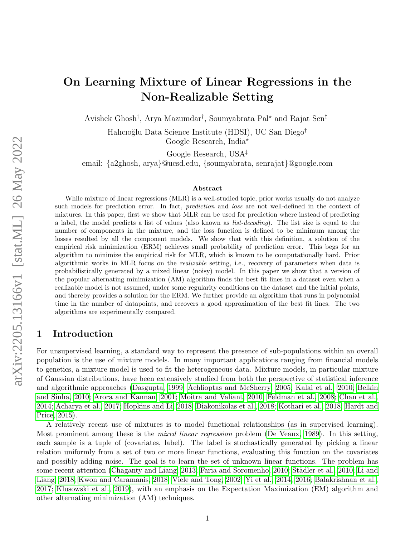# On Learning Mixture of Linear Regressions in the Non-Realizable Setting

Avishek Ghosh† , Arya Mazumdar† , Soumyabrata Pal? and Rajat Sen‡

Halıcıoğlu Data Science Institute (HDSI), UC San Diego<sup>†</sup> Google Research, India?

Google Research, USA‡

email: {a2ghosh, arya}@ucsd.edu, {soumyabrata, senrajat}@google.com

#### Abstract

While mixture of linear regressions (MLR) is a well-studied topic, prior works usually do not analyze such models for prediction error. In fact, *prediction* and *loss* are not well-defined in the context of mixtures. In this paper, first we show that MLR can be used for prediction where instead of predicting a label, the model predicts a list of values (also known as *list-decoding*). The list size is equal to the number of components in the mixture, and the loss function is defined to be minimum among the losses resulted by all the component models. We show that with this definition, a solution of the empirical risk minimization (ERM) achieves small probability of prediction error. This begs for an algorithm to minimize the empirical risk for MLR, which is known to be computationally hard. Prior algorithmic works in MLR focus on the *realizable* setting, i.e., recovery of parameters when data is probabilistically generated by a mixed linear (noisy) model. In this paper we show that a version of the popular alternating minimization (AM) algorithm finds the best fit lines in a dataset even when a realizable model is not assumed, under some regularity conditions on the dataset and the initial points, and thereby provides a solution for the ERM. We further provide an algorithm that runs in polynomial time in the number of datapoints, and recovers a good approximation of the best fit lines. The two algorithms are experimentally compared.

# 1 Introduction

For unsupervised learning, a standard way to represent the presence of sub-populations within an overall population is the use of mixture models. In many important applications ranging from financial models to genetics, a mixture model is used to fit the heterogeneous data. Mixture models, in particular mixture of Gaussian distributions, have been extensively studied from both the perspective of statistical inference and algorithmic approaches [\(Dasgupta, 1999;](#page-13-0) [Achlioptas and McSherry, 2005;](#page-12-0) [Kalai et al., 2010;](#page-13-1) [Belkin](#page-12-1) [and Sinha, 2010;](#page-12-1) [Arora and Kannan, 2001;](#page-12-2) [Moitra and Valiant, 2010;](#page-14-0) [Feldman et al., 2008;](#page-13-2) [Chan et al.,](#page-12-3) [2014;](#page-12-3) [Acharya et al., 2017;](#page-12-4) [Hopkins and Li, 2018;](#page-13-3) [Diakonikolas et al., 2018;](#page-13-4) [Kothari et al., 2018;](#page-13-5) [Hardt and](#page-13-6) [Price, 2015\)](#page-13-6).

A relatively recent use of mixtures is to model functional relationships (as in supervised learning). Most prominent among these is the mixed linear regression problem [\(De Veaux, 1989\)](#page-13-7). In this setting, each sample is a tuple of (covariates, label). The label is stochastically generated by picking a linear relation uniformly from a set of two or more linear functions, evaluating this function on the covariates and possibly adding noise. The goal is to learn the set of unknown linear functions. The problem has some recent attention [\(Chaganty and Liang, 2013;](#page-12-5) [Faria and Soromenho, 2010;](#page-13-8) Städler et al., 2010; [Li and](#page-14-2) [Liang, 2018;](#page-14-2) [Kwon and Caramanis, 2018;](#page-14-3) [Viele and Tong, 2002;](#page-14-4) [Yi et al., 2014,](#page-14-5) [2016;](#page-14-6) [Balakrishnan et al.,](#page-12-6) [2017;](#page-12-6) [Klusowski et al., 2019\)](#page-13-9), with an emphasis on the Expectation Maximization (EM) algorithm and other alternating minimization (AM) techniques.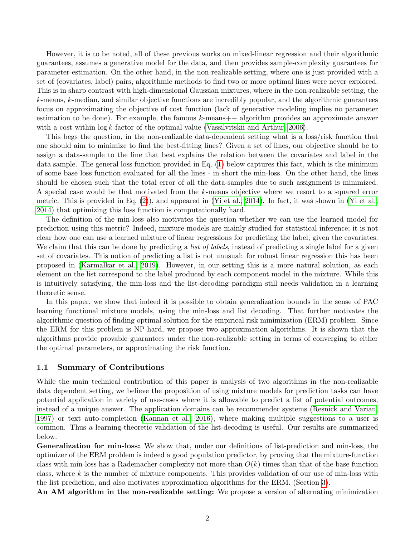However, it is to be noted, all of these previous works on mixed-linear regression and their algorithmic guarantees, assumes a generative model for the data, and then provides sample-complexity guarantees for parameter-estimation. On the other hand, in the non-realizable setting, where one is just provided with a set of (covariates, label) pairs, algorithmic methods to find two or more optimal lines were never explored. This is in sharp contrast with high-dimensional Gaussian mixtures, where in the non-realizable setting, the k-means, k-median, and similar objective functions are incredibly popular, and the algorithmic guarantees focus on approximating the objective of cost function (lack of generative modeling implies no parameter estimation to be done). For example, the famous  $k$ -means $++$  algorithm provides an approximate answer with a cost within  $\log k$ -factor of the optimal value [\(Vassilvitskii and Arthur, 2006\)](#page-14-7).

This begs the question, in the non-realizable data-dependent setting what is a loss/risk function that one should aim to minimize to find the best-fitting lines? Given a set of lines, our objective should be to assign a data-sample to the line that best explains the relation between the covariates and label in the data sample. The general loss function provided in Eq. [\(1\)](#page-3-0) below captures this fact, which is the minimum of some base loss function evaluated for all the lines - in short the min-loss. On the other hand, the lines should be chosen such that the total error of all the data-samples due to such assignment is minimized. A special case would be that motivated from the k-means objective where we resort to a squared error metric. This is provided in Eq. [\(2\)](#page-3-1)), and appeared in [\(Yi et al., 2014\)](#page-14-5). In fact, it was shown in [\(Yi et al.,](#page-14-5) [2014\)](#page-14-5) that optimizing this loss function is computationally hard.

The definition of the min-loss also motivates the question whether we can use the learned model for prediction using this metric? Indeed, mixture models are mainly studied for statistical inference; it is not clear how one can use a learned mixture of linear regressions for predicting the label, given the covariates. We claim that this can be done by predicting a *list of labels*, instead of predicting a single label for a given set of covariates. This notion of predicting a list is not unusual: for robust linear regression this has been proposed in [\(Karmalkar et al., 2019\)](#page-13-10). However, in our setting this is a more natural solution, as each element on the list correspond to the label produced by each component model in the mixture. While this is intuitively satisfying, the min-loss and the list-decoding paradigm still needs validation in a learning theoretic sense.

In this paper, we show that indeed it is possible to obtain generalization bounds in the sense of PAC learning functional mixture models, using the min-loss and list decoding. That further motivates the algorithmic question of finding optimal solution for the empirical risk minimization (ERM) problem. Since the ERM for this problem is NP-hard, we propose two approximation algorithms. It is shown that the algorithms provide provable guarantees under the non-realizable setting in terms of converging to either the optimal parameters, or approximating the risk function.

#### 1.1 Summary of Contributions

While the main technical contribution of this paper is analysis of two algorithms in the non-realizable data dependent setting, we believe the proposition of using mixture models for prediction tasks can have potential application in variety of use-cases where it is allowable to predict a list of potential outcomes, instead of a unique answer. The application domains can be recommender systems [\(Resnick and Varian,](#page-14-8) [1997\)](#page-14-8) or text auto-completion [\(Kannan et al., 2016\)](#page-13-11), where making multiple suggestions to a user is common. Thus a learning-theoretic validation of the list-decoding is useful. Our results are summarized below.

Generalization for min-loss: We show that, under our definitions of list-prediction and min-loss, the optimizer of the ERM problem is indeed a good population predictor, by proving that the mixture-function class with min-loss has a Rademacher complexity not more than  $O(k)$  times than that of the base function class, where  $k$  is the number of mixture components. This provides validation of our use of min-loss with the list prediction, and also motivates approximation algorithms for the ERM. (Section [3\)](#page-4-0).

An AM algorithm in the non-realizable setting: We propose a version of alternating minimization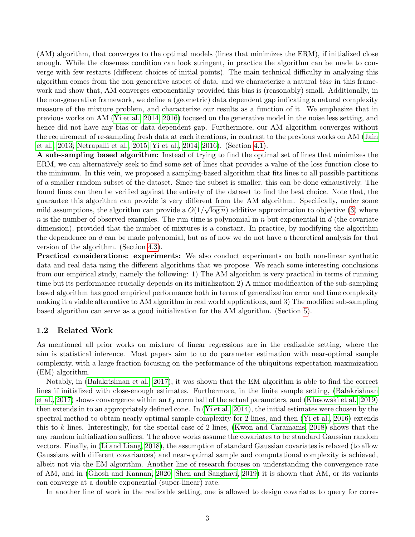(AM) algorithm, that converges to the optimal models (lines that minimizes the ERM), if initialized close enough. While the closeness condition can look stringent, in practice the algorithm can be made to converge with few restarts (different choices of initial points). The main technical difficulty in analyzing this algorithm comes from the non generative aspect of data, and we characterize a natural bias in this framework and show that, AM converges exponentially provided this bias is (reasonably) small. Additionally, in the non-generative framework, we define a (geometric) data dependent gap indicating a natural complexity measure of the mixture problem, and characterize our results as a function of it. We emphasize that in previous works on AM [\(Yi et al., 2014,](#page-14-5) [2016\)](#page-14-6) focused on the generative model in the noise less setting, and hence did not have any bias or data dependent gap. Furthermore, our AM algorithm converges without the requirement of re-sampling fresh data at each iterations, in contrast to the previous works on AM [\(Jain](#page-13-12) [et al., 2013;](#page-13-12) [Netrapalli et al., 2015;](#page-14-9) [Yi et al., 2014,](#page-14-5) [2016\)](#page-14-6). (Section [4.1\)](#page-4-1).

A sub-sampling based algorithm: Instead of trying to find the optimal set of lines that minimizes the ERM, we can alternatively seek to find some set of lines that provides a value of the loss function close to the minimum. In this vein, we proposed a sampling-based algorithm that fits lines to all possible partitions of a smaller random subset of the dataset. Since the subset is smaller, this can be done exhaustively. The found lines can then be verified against the entirety of the dataset to find the best choice. Note that, the guarantee this algorithm can provide is very different from the AM algorithm. Specifically, under some mild assumptions, the algorithm can provide a  $O(1/\sqrt{\log n})$  additive approximation to objective [\(3\)](#page-3-2) where  $n$  is the number of observed examples. The run-time is polynomial in  $n$  but exponential in  $d$  (the covariate dimension), provided that the number of mixtures is a constant. In practice, by modifying the algorithm the dependence on  $d$  can be made polynomial, but as of now we do not have a theoretical analysis for that version of the algorithm. (Section [4.3\)](#page-8-0).

Practical considerations: experiments: We also conduct experiments on both non-linear synthetic data and real data using the different algorithms that we propose. We reach some interesting conclusions from our empirical study, namely the following: 1) The AM algorithm is very practical in terms of running time but its performance crucially depends on its initialization 2) A minor modification of the sub-sampling based algorithm has good empirical performance both in terms of generalization error and time complexity making it a viable alternative to AM algorithm in real world applications, and 3) The modified sub-sampling based algorithm can serve as a good initialization for the AM algorithm. (Section [5\)](#page-9-0).

### 1.2 Related Work

As mentioned all prior works on mixture of linear regressions are in the realizable setting, where the aim is statistical inference. Most papers aim to to do parameter estimation with near-optimal sample complexity, with a large fraction focusing on the performance of the ubiquitous expectation maximization (EM) algorithm.

Notably, in [\(Balakrishnan et al., 2017\)](#page-12-6), it was shown that the EM algorithm is able to find the correct lines if initialized with close-enough estimates. Furthermore, in the finite sample setting, [\(Balakrishnan](#page-12-6) [et al., 2017\)](#page-12-6) shows convergence within an  $\ell_2$  norm ball of the actual parameters, and [\(Klusowski et al., 2019\)](#page-13-9) then extends in to an appropriately defined cone. In [\(Yi et al., 2014\)](#page-14-5), the initial estimates were chosen by the spectral method to obtain nearly optimal sample complexity for 2 lines, and then [\(Yi et al., 2016\)](#page-14-6) extends this to k lines. Interestingly, for the special case of 2 lines, [\(Kwon and Caramanis, 2018\)](#page-14-3) shows that the any random initialization suffices. The above works assume the covariates to be standard Gaussian random vectors. Finally, in [\(Li and Liang, 2018\)](#page-14-2), the assumption of standard Gaussian covariates is relaxed (to allow Gaussians with different covariances) and near-optimal sample and computational complexity is achieved, albeit not via the EM algorithm. Another line of research focuses on understanding the convergence rate of AM, and in [\(Ghosh and Kannan, 2020;](#page-13-13) [Shen and Sanghavi, 2019\)](#page-14-10) it is shown that AM, or its variants can converge at a double exponential (super-linear) rate.

In another line of work in the realizable setting, one is allowed to design covariates to query for corre-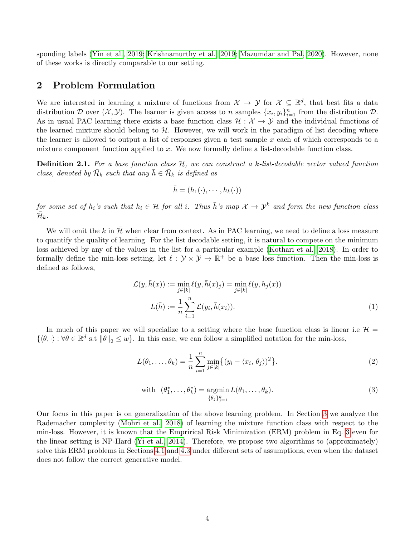sponding labels [\(Yin et al., 2019;](#page-14-11) [Krishnamurthy et al., 2019;](#page-13-14) [Mazumdar and Pal, 2020\)](#page-14-12). However, none of these works is directly comparable to our setting.

# <span id="page-3-3"></span>2 Problem Formulation

We are interested in learning a mixture of functions from  $\mathcal{X} \to \mathcal{Y}$  for  $\mathcal{X} \subseteq \mathbb{R}^d$ , that best fits a data distribution D over  $(\mathcal{X}, \mathcal{Y})$ . The learner is given access to n samples  $\{x_i, y_i\}_{i=1}^n$  from the distribution D. As in usual PAC learning there exists a base function class  $\mathcal{H}: \mathcal{X} \to \mathcal{Y}$  and the individual functions of the learned mixture should belong to  $H$ . However, we will work in the paradigm of list decoding where the learner is allowed to output a list of responses given a test sample x each of which corresponds to a mixture component function applied to x. We now formally define a list-decodable function class.

**Definition 2.1.** For a base function class  $H$ , we can construct a k-list-decodable vector valued function class, denoted by  $\bar{\mathcal{H}}_k$  such that any  $\bar{h} \in \bar{\mathcal{H}}_k$  is defined as

<span id="page-3-0"></span>
$$
\bar{h} = (h_1(\cdot), \cdots, h_k(\cdot))
$$

for some set of h<sub>i</sub>'s such that  $h_i \in H$  for all i. Thus  $\bar{h}$ 's map  $\mathcal{X} \to \mathcal{Y}^k$  and form the new function class  $\bar{\mathcal{H}}_k$  .

We will omit the k in  $\bar{\mathcal{H}}$  when clear from context. As in PAC learning, we need to define a loss measure to quantify the quality of learning. For the list decodable setting, it is natural to compete on the minimum loss achieved by any of the values in the list for a particular example [\(Kothari et al., 2018\)](#page-13-5). In order to formally define the min-loss setting, let  $\ell : \mathcal{Y} \times \mathcal{Y} \to \mathbb{R}^+$  be a base loss function. Then the min-loss is defined as follows,

$$
\mathcal{L}(y,\bar{h}(x)) := \min_{j \in [k]} \ell(y,\bar{h}(x)_j) = \min_{j \in [k]} \ell(y,h_j(x)) \nL(\bar{h}) := \frac{1}{n} \sum_{i=1}^n \mathcal{L}(y_i,\bar{h}(x_i)).
$$
\n(1)

In much of this paper we will specialize to a setting where the base function class is linear i.e  $\mathcal{H} =$  $\{\langle \theta, \cdot \rangle : \forall \theta \in \mathbb{R}^d \text{ s.t } ||\theta||_2 \leq w\}.$  In this case, we can follow a simplified notation for the min-loss,

$$
L(\theta_1,\ldots,\theta_k) = \frac{1}{n} \sum_{i=1}^n \min_{j \in [k]} \{ (y_i - \langle x_i, \theta_j \rangle)^2 \}.
$$
 (2)

<span id="page-3-2"></span><span id="page-3-1"></span>with 
$$
(\theta_1^*, \dots, \theta_k^*) = \underset{\{\theta_j\}_{j=1}^k}{\text{argmin}} L(\theta_1, \dots, \theta_k).
$$
 (3)

Our focus in this paper is on generalization of the above learning problem. In Section [3](#page-4-0) we analyze the Rademacher complexity [\(Mohri et al., 2018\)](#page-14-13) of learning the mixture function class with respect to the min-loss. However, it is known that the Emprirical Risk Minimization (ERM) problem in Eq. [3](#page-3-2) even for the linear setting is NP-Hard [\(Yi et al., 2014\)](#page-14-5). Therefore, we propose two algorithms to (approximately) solve this ERM problems in Sections [4.1](#page-4-1) and [4.3](#page-8-0) under different sets of assumptions, even when the dataset does not follow the correct generative model.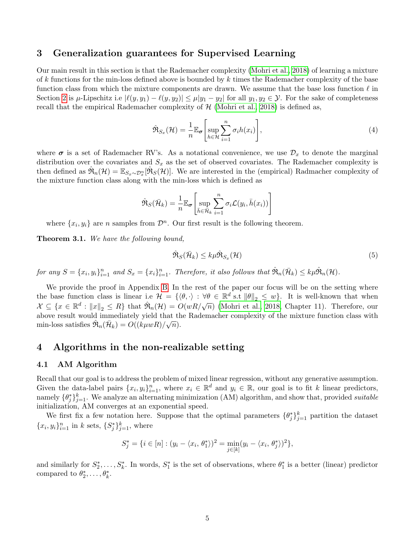# <span id="page-4-0"></span>3 Generalization guarantees for Supervised Learning

Our main result in this section is that the Rademacher complexity [\(Mohri et al., 2018\)](#page-14-13) of learning a mixture of k functions for the min-loss defined above is bounded by k times the Rademacher complexity of the base function class from which the mixture components are drawn. We assume that the base loss function  $\ell$  in Section [2](#page-3-3) is  $\mu$ -Lipschitz i.e  $|\ell(y, y_1) - \ell(y, y_2)| \leq \mu |y_1 - y_2|$  for all  $y_1, y_2 \in \mathcal{Y}$ . For the sake of completeness recall that the empirical Rademacher complexity of  $H$  [\(Mohri et al., 2018\)](#page-14-13) is defined as,

$$
\hat{\mathfrak{R}}_{S_x}(\mathcal{H}) = \frac{1}{n} \mathbb{E}_{\sigma} \left[ \sup_{h \in \mathcal{H}} \sum_{i=1}^n \sigma_i h(x_i) \right],\tag{4}
$$

where  $\sigma$  is a set of Rademacher RV's. As a notational convenience, we use  $\mathcal{D}_x$  to denote the marginal distribution over the covariates and  $S_x$  as the set of observed covariates. The Rademacher complexity is then defined as  $\hat{\mathfrak{R}}_n(\mathcal{H}) = \mathbb{E}_{S_x \sim \mathcal{D}_x^n} [\hat{\mathfrak{R}}_S(\mathcal{H})]$ . We are interested in the (empirical) Radmacher complexity of the mixture function class along with the min-loss which is defined as

$$
\hat{\mathfrak{R}}_S(\bar{\mathcal{H}}_k) = \frac{1}{n} \mathbb{E}_{\boldsymbol{\sigma}} \left[ \sup_{\bar{h} \in \bar{\mathcal{H}}_k} \sum_{i=1}^n \sigma_i \mathcal{L}(y_i, \bar{h}(x_i)) \right]
$$

where  $\{x_i, y_i\}$  are *n* samples from  $\mathcal{D}^n$ . Our first result is the following theorem.

<span id="page-4-2"></span>Theorem 3.1. We have the following bound,

$$
\hat{\mathfrak{R}}_{S}(\bar{\mathcal{H}}_{k}) \leq k \mu \hat{\mathfrak{R}}_{S_{x}}(\mathcal{H})
$$
\n<sup>(5)</sup>

for any  $S = \{x_i, y_i\}_{i=1}^n$  and  $S_x = \{x_i\}_{i=1}^n$ . Therefore, it also follows that  $\hat{\mathfrak{R}}_n(\bar{\mathcal{H}}_k) \leq k\mu \hat{\mathfrak{R}}_n(\mathcal{H})$ .

We provide the proof in Appendix [B.](#page-19-0) In the rest of the paper our focus will be on the setting where the base function class is linear i.e  $\mathcal{H} = \{ \langle \theta, \cdot \rangle : \forall \theta \in \mathbb{R}^d \text{ s.t } ||\theta||_2 \leq w \}.$  It is well-known that when  $\mathcal{X} \subseteq \{x \in \mathbb{R}^d : ||x||_2 \leq R\}$  that  $\mathcal{R}_n(\mathcal{H}) = O(wR/\sqrt{n})$  [\(Mohri et al., 2018,](#page-14-13) Chapter 11). Therefore, our above result would immediately yield that the Rademacher complexity of the mixture function class with min-loss satisfies  $\hat{\mathfrak{R}}_n(\bar{\mathcal{H}}_k) = O((k\mu wR)/\sqrt{n}).$ 

# 4 Algorithms in the non-realizable setting

### <span id="page-4-1"></span>4.1 AM Algorithm

Recall that our goal is to address the problem of mixed linear regression, without any generative assumption. Given the data-label pairs  $\{x_i, y_i\}_{i=1}^n$ , where  $x_i \in \mathbb{R}^d$  and  $y_i \in \mathbb{R}$ , our goal is to fit k linear predictors, namely  $\{\theta_j^*\}_{j=1}^k$ . We analyze an alternating minimization (AM) algorithm, and show that, provided *suitable* initialization, AM converges at an exponential speed.

We first fix a few notation here. Suppose that the optimal parameters  $\{\theta_j^*\}_{j=1}^k$  partition the dataset  ${x_i, y_i}_{i=1}^n$  in k sets,  ${S_j^*}_{j=1}^k$ , where

$$
S_j^* = \{ i \in [n] : (y_i - \langle x_i, \theta_1^* \rangle)^2 = \min_{j \in [k]} (y_i - \langle x_i, \theta_j^* \rangle)^2 \},
$$

and similarly for  $S_2^*,\ldots,S_k^*$ . In words,  $S_1^*$  is the set of observations, where  $\theta_1^*$  is a better (linear) predictor compared to  $\theta_2^*, \ldots, \theta_k^*$ .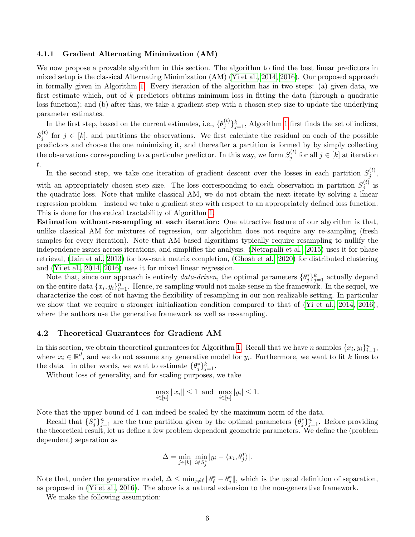#### 4.1.1 Gradient Alternating Minimization (AM)

We now propose a provable algorithm in this section. The algorithm to find the best linear predictors in mixed setup is the classical Alternating Minimization (AM) [\(Yi et al., 2014,](#page-14-5) [2016\)](#page-14-6). Our proposed approach in formally given in Algorithm [1.](#page-6-0) Every iteration of the algorithm has in two steps: (a) given data, we first estimate which, out of k predictors obtains minimum loss in fitting the data (through a quadratic loss function); and (b) after this, we take a gradient step with a chosen step size to update the underlying parameter estimates.

In the first step, based on the current estimates, i.e.,  $\{\theta_i^{(t)}\}$  $\{y_j^{(t)}\}_{j=1}^k$ , Algorithm [1](#page-6-0) first finds the set of indices,  $S_i^{(t)}$  $j_j^{(t)}$  for  $j \in [k]$ , and partitions the observations. We first calculate the residual on each of the possible predictors and choose the one minimizing it, and thereafter a partition is formed by by simply collecting the observations corresponding to a particular predictor. In this way, we form  $S_i^{(t)}$  $j^{(t)}$  for all  $j \in [k]$  at iteration t.

In the second step, we take one iteration of gradient descent over the losses in each partition  $S_i^{(t)}$  $\frac{1}{j}$ , with an appropriately chosen step size. The loss corresponding to each observation in partition  $S_i^{(t)}$  $j^{(\iota)}$  is the quadratic loss. Note that unlike classical AM, we do not obtain the next iterate by solving a linear regression problem—instead we take a gradient step with respect to an appropriately defined loss function. This is done for theoretical tractability of Algorithm [1.](#page-6-0)

Estimation without-resampling at each iteration: One attractive feature of our algorithm is that, unlike classical AM for mixtures of regression, our algorithm does not require any re-sampling (fresh samples for every iteration). Note that AM based algorithms typically require resampling to nullify the independence issues across iterations, and simplifies the analysis. [\(Netrapalli et al., 2015\)](#page-14-9) uses it for phase retrieval, [\(Jain et al., 2013\)](#page-13-12) for low-rank matrix completion, [\(Ghosh et al., 2020\)](#page-13-15) for distributed clustering and [\(Yi et al., 2014,](#page-14-5) [2016\)](#page-14-6) uses it for mixed linear regression.

Note that, since our approach is entirely *data-driven*, the optimal parameters  $\{\theta_j^*\}_{j=1}^k$  actually depend on the entire data  $\{x_i, y_i\}_{i=1}^n$ . Hence, re-sampling would not make sense in the framework. In the sequel, we characterize the cost of not having the flexibility of resampling in our non-realizable setting. In particular we show that we require a stronger initialization condition compared to that of [\(Yi et al., 2014,](#page-14-5) [2016\)](#page-14-6), where the authors use the generative framework as well as re-sampling.

### 4.2 Theoretical Guarantees for Gradient AM

In this section, we obtain theoretical guarantees for Algorithm [1.](#page-6-0) Recall that we have n samples  $\{x_i, y_i\}_{i=1}^n$ , where  $x_i \in \mathbb{R}^d$ , and we do not assume any generative model for  $y_i$ . Furthermore, we want to fit k lines to the data—in other words, we want to estimate  $\{\theta_j^*\}_{j=1}^k$ .

Without loss of generality, and for scaling purposes, we take

$$
\max_{i \in [n]} \|x_i\| \le 1 \text{ and } \max_{i \in [n]} |y_i| \le 1.
$$

Note that the upper-bound of 1 can indeed be scaled by the maximum norm of the data.

Recall that  $\{S_j^*\}_{j=1}^n$  are the true partition given by the optimal parameters  $\{\theta_j^*\}_{j=1}^n$ . Before providing the theoretical result, let us define a few problem dependent geometric parameters. We define the (problem dependent) separation as

$$
\Delta = \min_{j \in [k]} \min_{i \notin S_j^*} |y_i - \langle x_i, \theta_j^* \rangle|.
$$

Note that, under the generative model,  $\Delta \leq \min_{j\neq\ell} ||\theta_\ell^* - \theta_j^*||$ , which is the usual definition of separation, as proposed in [\(Yi et al., 2016\)](#page-14-6). The above is a natural extension to the non-generative framework.

We make the following assumption: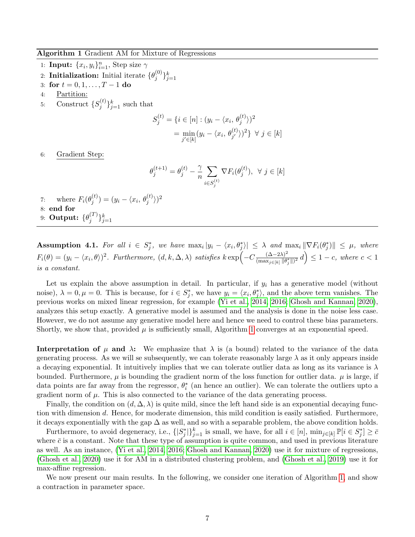#### <span id="page-6-0"></span>Algorithm 1 Gradient AM for Mixture of Regressions

- 1: **Input:**  $\{x_i, y_i\}_{i=1}^n$ , Step size  $\gamma$
- 2: Initialization: Initial iterate  $\{\theta_i^{(0)}\}$  $\{e^{(0)}\}_{j=1}^k$
- 3: for  $t = 0, 1, ..., T 1$  do
- 4: Partition:
- 5: Construct  $\{S_i^{(t)}\}$  $\{(\begin{matrix}t\\j\end{matrix})\}_{j=1}^k$  such that

$$
S_j^{(t)} = \{i \in [n] : (y_i - \langle x_i, \theta_j^{(t)} \rangle)^2
$$

$$
= \min_{j' \in [k]} (y_i - \langle x_i, \theta_{j'}^{(t)} \rangle)^2 \} \ \forall \ j \in [k]
$$

6: Gradient Step:

$$
\theta_j^{(t+1)} = \theta_j^{(t)} - \frac{\gamma}{n} \sum_{i \in S_j^{(t)}} \nabla F_i(\theta_j^{(t)}), \ \ \forall \ j \in [k]
$$

7: where  $F_i(\theta_i^{(t)})$  $\binom{t}{j} = (y_i - \langle x_i, \theta_j^{(t)} \rangle)^2$ 8: end for 9: Output:  $\{\theta_i^{(T)}\}$  $\{a^{(T)}\}_{j=1}^k$ 

<span id="page-6-1"></span>Assumption 4.1. For all  $i \in S_j^*$ , we have  $\max_i |y_i - \langle x_i, \theta_j^* \rangle| \leq \lambda$  and  $\max_i \|\nabla F_i(\theta_j^*)\| \leq \mu$ , where  $F_i(\theta) = (y_i - \langle x_i, \theta \rangle)^2$ . Furthermore,  $(d, k, \Delta, \lambda)$  satisfies  $k \exp\left(-C \frac{(\Delta - 2\lambda)^2}{(\max_i \leq \mu_i) \| \theta_i\|^2}\right)$  $\frac{(\Delta-2\lambda)^2}{(\max_{j\in[k]}\|\theta_j^*\|)^2}d\Big)\leq 1-c,$  where  $c<1$ is a constant.

Let us explain the above assumption in detail. In particular, if  $y_i$  has a generative model (without noise),  $\lambda = 0, \mu = 0$ . This is because, for  $i \in S_j^*$ , we have  $y_i = \langle x_i, \theta_j^* \rangle$ , and the above term vanishes. The previous works on mixed linear regression, for example [\(Yi et al., 2014,](#page-14-5) [2016;](#page-14-6) [Ghosh and Kannan, 2020\)](#page-13-13), analyzes this setup exactly. A generative model is assumed and the analysis is done in the noise less case. However, we do not assume any generative model here and hence we need to control these bias parameters. Shortly, we show that, provided  $\mu$  is sufficiently small, Algorithm [1](#page-6-0) converges at an exponential speed.

**Interpretation of**  $\mu$  **and**  $\lambda$ **:** We emphasize that  $\lambda$  is (a bound) related to the variance of the data generating process. As we will se subsequently, we can tolerate reasonably large  $\lambda$  as it only appears inside a decaying exponential. It intuitively implies that we can tolerate outlier data as long as its variance is  $\lambda$ bounded. Furthermore,  $\mu$  is bounding the gradient norm of the loss function for outlier data.  $\mu$  is large, if data points are far away from the regressor,  $\theta_i^*$  (an hence an outlier). We can tolerate the outliers upto a gradient norm of  $\mu$ . This is also connected to the variance of the data generating process.

Finally, the condition on  $(d, \Delta, \lambda)$  is quite mild, since the left hand side is an exponential decaying function with dimension d. Hence, for moderate dimension, this mild condition is easily satisfied. Furthermore, it decays exponentially with the gap  $\Delta$  as well, and so with a separable problem, the above condition holds.

Furthermore, to avoid degeneracy, i.e.,  $\{|S_j^*|\}_{j=1}^k$  is small, we have, for all  $i \in [n]$ ,  $\min_{j \in [k]} \mathbb{P}[i \in S_j^*] \geq \bar{c}$ where  $\bar{c}$  is a constant. Note that these type of assumption is quite common, and used in previous literature as well. As an instance, [\(Yi et al., 2014,](#page-14-5) [2016;](#page-14-6) [Ghosh and Kannan, 2020\)](#page-13-13) use it for mixture of regressions, [\(Ghosh et al., 2020\)](#page-13-15) use it for AM in a distributed clustering problem, and [\(Ghosh et al., 2019\)](#page-13-16) use it for max-affine regression.

We now present our main results. In the following, we consider one iteration of Algorithm [1,](#page-6-0) and show a contraction in parameter space.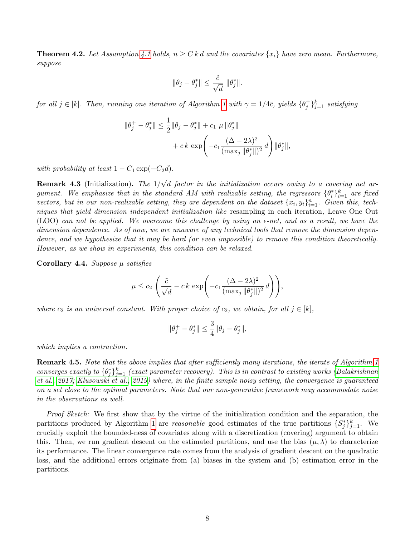<span id="page-7-0"></span>**Theorem 4.2.** Let Assumption [4.1](#page-6-1) holds,  $n \geq C k d$  and the covariates  $\{x_i\}$  have zero mean. Furthermore, suppose

$$
\|\theta_j - \theta_j^*\| \le \frac{\tilde{c}}{\sqrt{d}} \|\theta_j^*\|.
$$

for all  $j \in [k]$ . Then, running one iteration of Algorithm [1](#page-6-0) with  $\gamma = 1/4\bar{c}$ , yields  $\{\theta_j^+\}_{j=1}^k$  satisfying

$$
\|\theta_j^+ - \theta_j^*\| \le \frac{1}{2} \|\theta_j - \theta_j^*\| + c_1 \mu \|\theta_j^*\| + c k \exp\left(-c_1 \frac{(\Delta - 2\lambda)^2}{(\max_j \|\theta_j^*\|)^2} d\right) \|\theta_j^*\|,
$$

with probability at least  $1 - C_1 \exp(-C_2 d)$ .

**Remark 4.3** (Initialization). The  $1/$ √ d factor in the initialization occurs owing to a covering net argument. We emphasize that in the standard AM with realizable setting, the regressors  $\{\theta_i^*\}_{i=1}^k$  are fixed vectors, but in our non-realizable setting, they are dependent on the dataset  $\{x_i, y_i\}_{i=1}^n$ . Given this, techniques that yield dimension independent initialization like resampling in each iteration, Leave One Out (LOO) can not be applied. We overcome this challenge by using an  $\epsilon$ -net, and as a result, we have the dimension dependence. As of now, we are unaware of any technical tools that remove the dimension dependence, and we hypothesize that it may be hard (or even impossible) to remove this condition theoretically. However, as we show in experiments, this condition can be relaxed.

Corollary 4.4. Suppose  $\mu$  satisfies

$$
\mu \le c_2 \left( \frac{\tilde{c}}{\sqrt{d}} - c k \, \exp\left( -c_1 \frac{(\Delta - 2\lambda)^2}{(\max_j \|\theta_j^*\|)^2} \, d \right) \right),
$$

where  $c_2$  is an universal constant. With proper choice of  $c_2$ , we obtain, for all  $j \in [k]$ ,

$$
\|\theta_j^+ - \theta_j^*\| \le \frac{3}{4} \|\theta_j - \theta_j^*\|,
$$

which implies a contraction.

Remark 4.5. Note that the above implies that after sufficiently many iterations, the iterate of Algorithm [1](#page-6-0) converges exactly to  $\{\theta_j^*\}_{j=1}^k$  (exact parameter recovery). This is in contrast to existing works [\(Balakrishnan](#page-12-6) [et al., 2017;](#page-12-6) [Klusowski et al., 2019\)](#page-13-9) where, in the finite sample noisy setting, the convergence is guaranteed on a set close to the optimal parameters. Note that our non-generative framework may accommodate noise in the observations as well.

Proof Sketch: We first show that by the virtue of the initialization condition and the separation, the partitions produced by Algorithm [1](#page-6-0) are *reasonable* good estimates of the true partitions  $\{S_j^*\}_{j=1}^k$ . We crucially exploit the bounded-ness of covariates along with a discretization (covering) argument to obtain this. Then, we run gradient descent on the estimated partitions, and use the bias  $(\mu, \lambda)$  to characterize its performance. The linear convergence rate comes from the analysis of gradient descent on the quadratic loss, and the additional errors originate from (a) biases in the system and (b) estimation error in the partitions.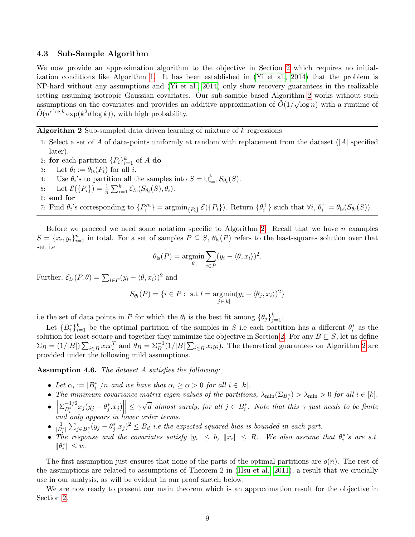### <span id="page-8-0"></span>4.3 Sub-Sample Algorithm

We now provide an approximation algorithm to the objective in Section [2](#page-3-3) which requires no initialization conditions like Algorithm [1.](#page-6-0) It has been established in [\(Yi et al., 2014\)](#page-14-5) that the problem is NP-hard without any assumptions and [\(Yi et al., 2014\)](#page-14-5) only show recovery guarantees in the realizable setting assuming isotropic Gaussian covariates. Our sub-sample based Algorithm [2](#page-8-1) works without such assumptions on the covariates and provides an additive approximation of  $\tilde{O}(1/\sqrt{\log n})$  with a runtime of  $\tilde{O}(n^{c \log k} \exp(k^2 d \log k))$ , with high probability.

<span id="page-8-1"></span>Algorithm 2 Sub-sampled data driven learning of mixture of k regressions

- 1: Select a set of A of data-points uniformly at random with replacement from the dataset (|A| specified later).
- 2: for each partition  $\{P_i\}_{i=1}^k$  of A do
- 3: Let  $\theta_i := \theta_{\text{ls}}(P_i)$  for all *i*.
- 4: Use  $\theta_i$ 's to partition all the samples into  $S = \bigcup_{i=1}^k S_{\theta_i}(S)$ .
- 5: Let  $\mathcal{E}(\{P_i\}) = \frac{1}{n} \sum_{i=1}^{k} \mathcal{E}_{ls}(S_{\theta_i}(S), \theta_i).$
- 6: end for

7: Find  $\theta_i$ 's corresponding to  $\{P_i^m\} = \operatorname{argmin}_{\{P_i\}} \mathcal{E}(\{P_i\})$ . Return  $\{\theta_i^+\}$  such that  $\forall i, \theta_i^+ = \theta_{\text{ls}}(S_{\theta_i}(S))$ .

Before we proceed we need some notation specific to Algorithm [2.](#page-8-1) Recall that we have n examples  $S = \{x_i, y_i\}_{i=1}^n$  in total. For a set of samples  $P \subseteq S$ ,  $\theta_{\rm ls}(P)$  refers to the least-squares solution over that set i.e

$$
\theta_{\text{ls}}(P) = \underset{\theta}{\text{argmin}} \sum_{i \in P} (y_i - \langle \theta, x_i \rangle)^2.
$$

Further,  $\mathcal{E}_{ls}(P,\theta) = \sum_{i \in P} (y_i - \langle \theta, x_i \rangle)^2$  and

$$
S_{\theta_l}(P) = \{i \in P : \text{ s.t } l = \operatorname*{argmin}_{j \in [k]} (y_i - \langle \theta_j, x_i \rangle)^2\}
$$

i.e the set of data points in P for which the  $\theta_l$  is the best fit among  $\{\theta_j\}_{j=1}^k$ .

Let  ${B_i^*}_{i=1}^k$  be the optimal partition of the samples in S i.e each partition has a different  $\theta_i^*$  as the solution for least-square and together they minimize the objective in Section [2.](#page-3-3) For any  $B \subseteq S$ , let us define  $\Sigma_B = (1/|B|) \sum_{i \in B} x_i x_i^T$  and  $\theta_B = \Sigma_B^{-1}(1/|B|) \sum_{i \in B} x_i y_i$ . The theoretical guarantees on Algorithm [2](#page-8-1) are provided under the following mild assumptions.

<span id="page-8-2"></span>Assumption 4.6. The dataset A satisfies the following:

- Let  $\alpha_i := |B_i^*|/n$  and we have that  $\alpha_i \ge \alpha > 0$  for all  $i \in [k]$ .
- The minimum covariance matrix eigen-values of the partitions,  $\lambda_{\min}(\Sigma_{B_i^*}) > \lambda_{\min} > 0$  for all  $i \in [k]$ .
- $\bullet$   $\left\| \sum_{B_{\cdot}^{\ast}}^{-1/2} \right\|$  $\begin{bmatrix} -B_i & -J(3) & -J(1) \end{bmatrix}$  and only appears in lower order terms.  $\left\|\frac{-1}{B_i^*}x_j(y_j-\theta_j^*.x_j)\right\| \leq \gamma$  $\sqrt{d}$  almost surely, for all  $j \in B_i^*$ . Note that this  $\gamma$  just needs to be finite
- $\frac{1}{|B_i^*|} \sum_{j \in B_i^*} (y_j \theta_j^* . x_j)^2 \leq B_d$  i.e the expected squared bias is bounded in each part.
- The response and the covariates satisfy  $|y_i| \leq b$ ,  $||x_i|| \leq R$ . We also assume that  $\theta_i^*$ 's are s.t.  $\label{eq:est} \|\theta^*_i\| \leq w.$

The first assumption just ensures that none of the parts of the optimal partitions are  $o(n)$ . The rest of the assumptions are related to assumptions of Theorem 2 in [\(Hsu et al., 2011\)](#page-13-17), a result that we crucially use in our analysis, as will be evident in our proof sketch below.

We are now ready to present our main theorem which is an approximation result for the objective in Section [2.](#page-3-3)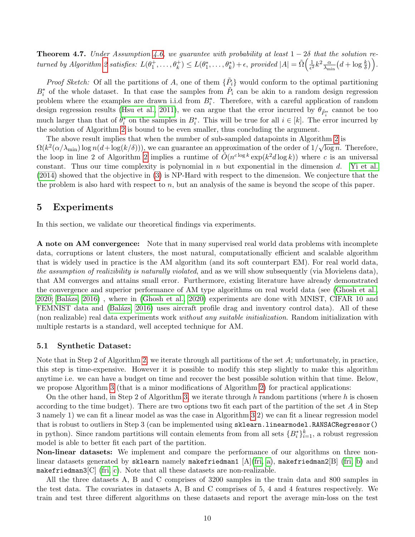<span id="page-9-1"></span>**Theorem 4.7.** Under Assumption [4.6,](#page-8-2) we guarantee with probability at least  $1 - 2\delta$  that the solution re-turned by Algorithm [2](#page-8-1) satisfies:  $L(\theta_1^+, \ldots, \theta_k^+) \leq L(\theta_1^*, \ldots, \theta_k^*) + \epsilon$ , provided  $|A| = \tilde{\Omega} \left( \frac{1}{\epsilon^2} \right)$  $\frac{1}{\epsilon^2}k^2\frac{\alpha}{\lambda_m}$  $\frac{\alpha}{\lambda_{\min}}\big(d+\log\frac{k}{\delta}\big)\Big).$ 

*Proof Sketch:* Of all the partitions of A, one of them  $\{\tilde{P}_i\}$  would conform to the optimal partitioning  $B_i^*$  of the whole dataset. In that case the samples from  $\tilde{P}_i$  can be akin to a random design regression problem where the examples are drawn i.i.d from  $B_i^*$ . Therefore, with a careful application of random design regression results [\(Hsu et al., 2011\)](#page-13-17), we can argue that the error incurred by  $\theta_{\tilde{P}^*_i}$  cannot be too much larger than that of  $\theta_i^*$  on the samples in  $B_i^*$ . This will be true for all  $i \in [k]$ . The error incurred by the solution of Algorithm [2](#page-8-1) is bound to be even smaller, thus concluding the argument.

The above result implies that when the number of sub-sampled datapoints in Algorithm [2](#page-8-1) is  $\Omega(k^2(\alpha/\lambda_{\min})\log n(d+\log(k/\delta)))$ , we can guarantee an approximation of the order of  $1/\sqrt{\log n}$ . Therefore, the loop in line [2](#page-8-1) of Algorithm 2 implies a runtime of  $\tilde{O}(n^{c \log k} \exp(k^2 d \log k))$  where c is an universal constant. Thus our time complexity is polynomial in n but exponential in the dimension  $d$ . [Yi et al.](#page-14-5) [\(2014\)](#page-14-5) showed that the objective in [\(3\)](#page-3-2) is NP-Hard with respect to the dimension. We conjecture that the the problem is also hard with respect to n, but an analysis of the same is beyond the scope of this paper.

## <span id="page-9-0"></span>5 Experiments

In this section, we validate our theoretical findings via experiments.

A note on AM convergence: Note that in many supervised real world data problems with incomplete data, corruptions or latent clusters, the most natural, computationally efficient and scalable algorithm that is widely used in practice is the AM algorithm (and its soft counterpart EM). For real world data, the assumption of realizibility is naturally violated, and as we will show subsequently (via Movielens data), that AM converges and attains small error. Furthermore, existing literature have already demonstrated the convergence and superior performance of AM type algorithms on real world data (see [\(Ghosh et al.,](#page-13-15) [2020;](#page-13-15) [Bal´azs, 2016\)](#page-12-7) , where in [\(Ghosh et al., 2020\)](#page-13-15) experiments are done with MNIST, CIFAR 10 and FEMNIST data and (Balázs, 2016) uses aircraft profile drag and inventory control data). All of these (non realizable) real data experiments work without any suitable initialization. Random initialization with multiple restarts is a standard, well accepted technique for AM.

### 5.1 Synthetic Dataset:

Note that in Step 2 of Algorithm [2,](#page-8-1) we iterate through all partitions of the set A; unfortunately, in practice, this step is time-expensive. However it is possible to modify this step slightly to make this algorithm anytime i.e. we can have a budget on time and recover the best possible solution within that time. Below, we propose Algorithm [3](#page-10-0) (that is a minor modifications of Algorithm [2\)](#page-8-1) for practical applications:

On the other hand, in Step 2 of Algorithm [3,](#page-10-0) we iterate through h random partitions (where h is chosen according to the time budget). There are two options two fit each part of the partition of the set A in Step 3 namely 1) we can fit a linear model as was the case in Algorithm [3](#page-10-0) 2) we can fit a linear regression model that is robust to outliers in Step 3 (can be implemented using sklearn.linearmodel.RANSACRegressor() in python). Since random partitions will contain elements from from all sets  $\{B_i^*\}_{i=1}^k$ , a robust regression model is able to better fit each part of the partition.

Non-linear datasets: We implement and compare the performance of our algorithms on three nonlinear datasets generated by sklearn namely makefriedman1  $[A]($ fri, a), makefriedman2 $[B]$  [\(fri, b\)](#page-12-9) and makefriedman3 $[C]$  [\(fri, c\)](#page-12-10). Note that all these datasets are non-realizable.

All the three datasets A, B and C comprises of 3200 samples in the train data and 800 samples in the test data. The covariates in datasets A, B and C comprises of 5, 4 and 4 features respectively. We train and test three different algorithms on these datasets and report the average min-loss on the test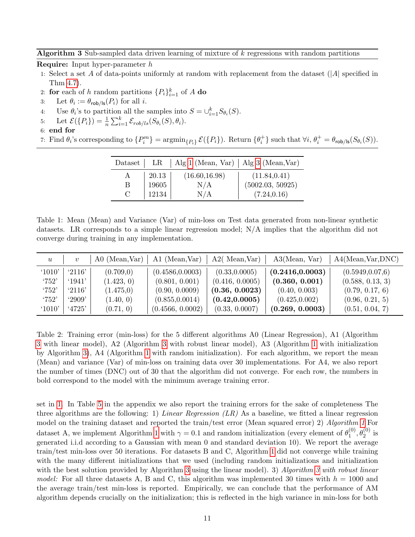<span id="page-10-0"></span>**Algorithm 3** Sub-sampled data driven learning of mixture of  $k$  regressions with random partitions

Require: Input hyper-parameter h

- 1: Select a set A of data-points uniformly at random with replacement from the dataset (|A| specified in Thm [4.7\)](#page-9-1).
- 2: for each of h random partitions  $\{P_i\}_{i=1}^k$  of A do
- 3: Let  $\theta_i := \theta_{\text{rob/ls}}(P_i)$  for all *i*.
- 4: Use  $\theta_i$ 's to partition all the samples into  $S = \bigcup_{i=1}^k S_{\theta_i}(S)$ .
- 5: Let  $\mathcal{E}(\lbrace P_i \rbrace) = \frac{1}{n} \sum_{i=1}^{k} \mathcal{E}_{rob/ls}(S_{\theta_i}(S), \theta_i).$
- 6: end for

<span id="page-10-1"></span>7: Find  $\theta_i$ 's corresponding to  $\{P_i^m\} = \operatorname{argmin}_{\{P_i\}} \mathcal{E}(\{P_i\})$ . Return  $\{\theta_i^+\}$  such that  $\forall i, \theta_i^+ = \theta_{\text{rob/ls}}(S_{\theta_i}(S))$ .

| Dataset |                                               | LR   Alg 1 (Mean, Var)   Alg 3 (Mean, Var) |                  |
|---------|-----------------------------------------------|--------------------------------------------|------------------|
|         | $\begin{array}{c} 20.13 \\ 19605 \end{array}$ | (16.60, 16.98)                             | (11.84, 0.41)    |
| B       |                                               | N/A                                        | (5002.03, 50925) |
|         | 12134                                         | N/A                                        | (7.24, 0.16)     |

Table 1: Mean (Mean) and Variance (Var) of min-loss on Test data generated from non-linear synthetic datasets. LR corresponds to a simple linear regression model; N/A implies that the algorithm did not converge during training in any implementation.

| $\boldsymbol{u}$ | $\boldsymbol{v}$ | $A0$ (Mean, Var) | A1 (Mean, Var)   | $A2($ Mean, Var $)$ | A3(Mean, Var)    | A4(Mean, Var, DNC) |
|------------------|------------------|------------------|------------------|---------------------|------------------|--------------------|
| '1010'           | '2116'           | (0.709, 0)       | (0.4586, 0.0003) | (0.33, 0.0005)      | (0.2416, 0.0003) | (0.5949, 0.07, 6)  |
| '752'            | 1941'            | (1.423, 0)       | (0.801, 0.001)   | (0.416, 0.0005)     | (0.360, 0.001)   | (0.588, 0.13, 3)   |
| '752'            | '2116'           | (1.475,0)        | (0.90, 0.0009)   | (0.36, 0.0023)      | (0.40, 0.003)    | (0.79, 0.17, 6)    |
| '752'            | '2909'           | (1.40, 0)        | (0.855, 0.0014)  | (0.42, 0.0005)      | (0.425, 0.002)   | (0.96, 0.21, 5)    |
| '1010'           | '4725'           | (0.71, 0)        | (0.4566, 0.0002) | (0.33, 0.0007)      | (0.269, 0.0003)  | (0.51, 0.04, 7)    |

Table 2: Training error (min-loss) for the 5 different algorithms A0 (Linear Regression), A1 (Algorithm [3](#page-10-0) with linear model), A2 (Algorithm [3](#page-10-0) with robust linear model), A3 (Algorithm [1](#page-6-0) with initialization by Algorithm [3\)](#page-10-0), A4 (Algorithm [1](#page-6-0) with random initialization). For each algorithm, we report the mean (Mean) and variance (Var) of min-loss on training data over 30 implementations. For A4, we also report the number of times (DNC) out of 30 that the algorithm did not converge. For each row, the numbers in bold correspond to the model with the minimum average training error.

set in [1.](#page-10-1) In Table [5](#page-23-0) in the appendix we also report the training errors for the sake of completeness The three algorithms are the following: 1) Linear Regression  $(LR)$  As a baseline, we fitted a linear regression model on the training dataset and reported the train/test error (Mean squared error) 2) Algorithm [1](#page-6-0) For dataset A, we implement Algorithm [1](#page-6-0) with  $\gamma = 0.1$  and random initialization (every element of  $\theta_1^{(0)}$ )  $_{1}^{(0)}, \theta_{2}^{(0)}$  is generated i.i.d according to a Gaussian with mean 0 and standard deviation 10). We report the average train/test min-loss over 50 iterations. For datasets B and C, Algorithm [1](#page-6-0) did not converge while training with the many different initializations that we used (including random initializations and initialization with the best solution provided by Algorithm [3](#page-10-0) using the linear model). 3) Algorithm 3 with robust linear model: For all three datasets A, B and C, this algorithm was implemented 30 times with  $h = 1000$  and the average train/test min-loss is reported. Empirically, we can conclude that the performance of AM algorithm depends crucially on the initialization; this is reflected in the high variance in min-loss for both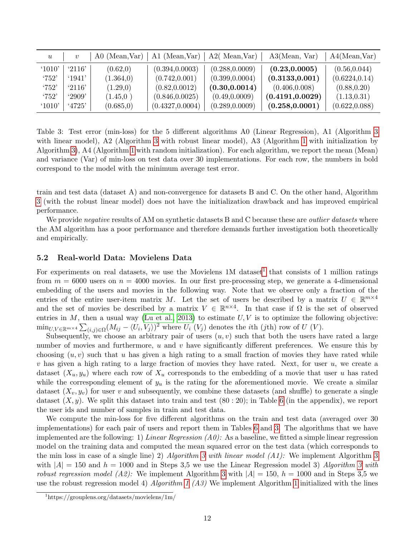<span id="page-11-1"></span>

| $\boldsymbol{u}$ | $\boldsymbol{v}$ | $A0$ (Mean, Var) | A1 (Mean, Var)   | $A2($ Mean, Var) | A3(Mean, Var)    | A4(Mean, Var)  |
|------------------|------------------|------------------|------------------|------------------|------------------|----------------|
| '1010'           | '2116'           | (0.62, 0)        | (0.394, 0.0003)  | (0.288, 0.0009)  | (0.23, 0.0005)   | (0.56, 0.044)  |
| '752'            | $^{\circ}1941'$  | (1.364, 0)       | (0.742, 0.001)   | (0.399, 0.0004)  | (0.3133, 0.001)  | (0.6224, 0.14) |
| '752'            | '2116'           | (1.29,0)         | (0.82, 0.0012)   | (0.30, 0.0014)   | (0.406, 0.008)   | (0.88, 0.20)   |
| '752'            | $^{\circ}2909'$  | (1.45,0)         | (0.846, 0.0025)  | (0.49, 0.0009)   | (0.4191, 0.0029) | (1.13, 0.31)   |
| (1010)           | 4725'            | (0.685, 0)       | (0.4327, 0.0004) | (0.289, 0.0009)  | (0.258, 0.0001)  | (0.622, 0.088) |

Table 3: Test error (min-loss) for the 5 different algorithms A0 (Linear Regression), A1 (Algorithm [3](#page-10-0) with linear model), A2 (Algorithm [3](#page-10-0) with robust linear model), A3 (Algorithm [1](#page-6-0) with initialization by Algorithm [3\)](#page-10-0), A4 (Algorithm [1](#page-6-0) with random initialization). For each algorithm, we report the mean (Mean) and variance (Var) of min-loss on test data over 30 implementations. For each row, the numbers in bold correspond to the model with the minimum average test error.

train and test data (dataset A) and non-convergence for datasets B and C. On the other hand, Algorithm [3](#page-10-0) (with the robust linear model) does not have the initialization drawback and has improved empirical performance.

We provide *negative* results of AM on synthetic datasets B and C because these are *outlier datasets* where the AM algorithm has a poor performance and therefore demands further investigation both theoretically and empirically.

### 5.2 Real-world Data: Movielens Data

For experiments on real datasets, we use the Movielens  $1M$  $1M$  dataset<sup>1</sup> that consists of 1 million ratings from  $m = 6000$  users on  $n = 4000$  movies. In our first pre-processing step, we generate a 4-dimensional embedding of the users and movies in the following way. Note that we observe only a fraction of the entries of the entire user-item matrix M. Let the set of users be described by a matrix  $U \in \mathbb{R}^{m \times 4}$ and the set of movies be described by a matrix  $V \in \mathbb{R}^{n \times 4}$ . In that case if  $\Omega$  is the set of observed entries in  $M$ , then a usual way [\(Lu et al., 2013\)](#page-14-14) to estimate  $U, V$  is to optimize the following objective:  $\min_{U,V \in \mathbb{R}^{m \times 4}} \sum_{(i,j) \in \Omega} (M_{ij} - \langle U_i, V_j \rangle)^2$  where  $U_i$  (V<sub>j</sub>) denotes the *i*th (*j*th) row of U (V).

Subsequently, we choose an arbitrary pair of users  $(u, v)$  such that both the users have rated a large number of movies and furthermore,  $u$  and  $v$  have significantly different preferences. We ensure this by choosing  $(u, v)$  such that u has given a high rating to a small fraction of movies they have rated while  $v$  has given a high rating to a large fraction of movies they have rated. Next, for user  $u$ , we create a dataset  $(X_u, y_u)$  where each row of  $X_u$  corresponds to the embedding of a movie that user u has rated while the corresponding element of  $y_u$  is the rating for the aforementioned movie. We create a similar dataset  $(X_v, y_v)$  for user v and subsequently, we combine these datasets (and shuffle) to generate a single dataset  $(X, y)$ . We split this dataset into train and test  $(80: 20)$ ; in Table [6](#page-24-0) (in the appendix), we report the user ids and number of samples in train and test data.

We compute the min-loss for five different algorithms on the train and test data (averaged over 30 implementations) for each pair of users and report them in Tables [6](#page-24-0) and [3.](#page-11-1) The algorithms that we have implemented are the following: 1) Linear Regression  $(A0)$ : As a baseline, we fitted a simple linear regression model on the training data and computed the mean squared error on the test data (which corresponds to the min loss in case of a single line) 2) Algorithm [3](#page-10-0) with linear model  $(A1)$ : We implement Algorithm 3 with  $|A| = 150$  and  $h = 1000$  and in Steps [3](#page-10-0),5 we use the Linear Regression model 3) Algorithm 3 with robust regression model (A2): We implement Algorithm [3](#page-10-0) with  $|A| = 150$ ,  $h = 1000$  and in Steps 3,5 we use the robust regression model 4) Algorithm [1](#page-6-0) (A3) We implement Algorithm 1 initialized with the lines

<span id="page-11-0"></span><sup>1</sup>https://grouplens.org/datasets/movielens/1m/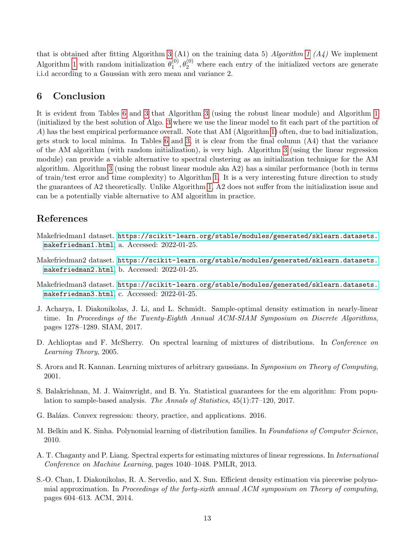that is obtained after fitting Algorithm [3](#page-10-0) (A1) on the training data 5) Algorithm [1](#page-6-0) (A4) We implement Algorithm [1](#page-6-0) with random initialization  $\theta_1^{(0)}$  $1^{(0)}$ ,  $\theta_2^{(0)}$  where each entry of the initialized vectors are generate i.i.d according to a Gaussian with zero mean and variance 2.

# 6 Conclusion

It is evident from Tables [6](#page-24-0) and [3](#page-11-1) that Algorithm [3](#page-10-0) (using the robust linear module) and Algorithm [1](#page-6-0) (initialized by the best solution of Algo. [3](#page-10-0) where we use the linear model to fit each part of the partition of A) has the best empirical performance overall. Note that AM (Algorithm [1\)](#page-6-0) often, due to bad initialization, gets stuck to local minima. In Tables [6](#page-24-0) and [3,](#page-11-1) it is clear from the final column (A4) that the variance of the AM algorithm (with random initialization), is very high. Algorithm [3](#page-10-0) (using the linear regression module) can provide a viable alternative to spectral clustering as an initialization technique for the AM algorithm. Algorithm [3](#page-10-0) (using the robust linear module aka A2) has a similar performance (both in terms of train/test error and time complexity) to Algorithm [1.](#page-6-0) It is a very interesting future direction to study the guarantees of A2 theoretically. Unlike Algorithm [1,](#page-6-0) A2 does not suffer from the initialization issue and can be a potentially viable alternative to AM algorithm in practice.

# References

- <span id="page-12-8"></span>Makefriedman1 dataset. [https://scikit-learn.org/stable/modules/generated/sklearn.datasets.](https://scikit-learn.org/stable/modules/generated/sklearn.datasets.makefriedman1.html) [makefriedman1.html](https://scikit-learn.org/stable/modules/generated/sklearn.datasets.makefriedman1.html), a. Accessed: 2022-01-25.
- <span id="page-12-9"></span>Makefriedman2 dataset. [https://scikit-learn.org/stable/modules/generated/sklearn.datasets.](https://scikit-learn.org/stable/modules/generated/sklearn.datasets.makefriedman2.html) [makefriedman2.html](https://scikit-learn.org/stable/modules/generated/sklearn.datasets.makefriedman2.html), b. Accessed: 2022-01-25.
- <span id="page-12-10"></span>Makefriedman3 dataset. [https://scikit-learn.org/stable/modules/generated/sklearn.datasets.](https://scikit-learn.org/stable/modules/generated/sklearn.datasets.makefriedman3.html) [makefriedman3.html](https://scikit-learn.org/stable/modules/generated/sklearn.datasets.makefriedman3.html), c. Accessed: 2022-01-25.
- <span id="page-12-4"></span>J. Acharya, I. Diakonikolas, J. Li, and L. Schmidt. Sample-optimal density estimation in nearly-linear time. In Proceedings of the Twenty-Eighth Annual ACM-SIAM Symposium on Discrete Algorithms. pages 1278–1289. SIAM, 2017.
- <span id="page-12-0"></span>D. Achlioptas and F. McSherry. On spectral learning of mixtures of distributions. In Conference on Learning Theory, 2005.
- <span id="page-12-2"></span>S. Arora and R. Kannan. Learning mixtures of arbitrary gaussians. In Symposium on Theory of Computing, 2001.
- <span id="page-12-6"></span>S. Balakrishnan, M. J. Wainwright, and B. Yu. Statistical guarantees for the em algorithm: From population to sample-based analysis. The Annals of Statistics, 45(1):77–120, 2017.
- <span id="page-12-7"></span>G. Balázs. Convex regression: theory, practice, and applications. 2016.
- <span id="page-12-1"></span>M. Belkin and K. Sinha. Polynomial learning of distribution families. In Foundations of Computer Science, 2010.
- <span id="page-12-5"></span>A. T. Chaganty and P. Liang. Spectral experts for estimating mixtures of linear regressions. In International Conference on Machine Learning, pages 1040–1048. PMLR, 2013.
- <span id="page-12-3"></span>S.-O. Chan, I. Diakonikolas, R. A. Servedio, and X. Sun. Efficient density estimation via piecewise polynomial approximation. In Proceedings of the forty-sixth annual ACM symposium on Theory of computing, pages 604–613. ACM, 2014.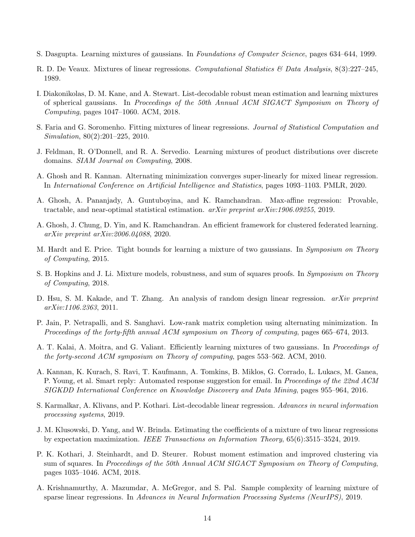- <span id="page-13-0"></span>S. Dasgupta. Learning mixtures of gaussians. In Foundations of Computer Science, pages 634–644, 1999.
- <span id="page-13-7"></span>R. D. De Veaux. Mixtures of linear regressions. Computational Statistics & Data Analysis,  $8(3):227-245$ , 1989.
- <span id="page-13-4"></span>I. Diakonikolas, D. M. Kane, and A. Stewart. List-decodable robust mean estimation and learning mixtures of spherical gaussians. In Proceedings of the 50th Annual ACM SIGACT Symposium on Theory of Computing, pages 1047–1060. ACM, 2018.
- <span id="page-13-8"></span>S. Faria and G. Soromenho. Fitting mixtures of linear regressions. Journal of Statistical Computation and Simulation, 80(2):201–225, 2010.
- <span id="page-13-2"></span>J. Feldman, R. O'Donnell, and R. A. Servedio. Learning mixtures of product distributions over discrete domains. SIAM Journal on Computing, 2008.
- <span id="page-13-13"></span>A. Ghosh and R. Kannan. Alternating minimization converges super-linearly for mixed linear regression. In International Conference on Artificial Intelligence and Statistics, pages 1093–1103. PMLR, 2020.
- <span id="page-13-16"></span>A. Ghosh, A. Pananjady, A. Guntuboyina, and K. Ramchandran. Max-affine regression: Provable, tractable, and near-optimal statistical estimation. arXiv preprint arXiv:1906.09255, 2019.
- <span id="page-13-15"></span>A. Ghosh, J. Chung, D. Yin, and K. Ramchandran. An efficient framework for clustered federated learning. arXiv preprint arXiv:2006.04088, 2020.
- <span id="page-13-6"></span>M. Hardt and E. Price. Tight bounds for learning a mixture of two gaussians. In Symposium on Theory of Computing, 2015.
- <span id="page-13-3"></span>S. B. Hopkins and J. Li. Mixture models, robustness, and sum of squares proofs. In Symposium on Theory of Computing, 2018.
- <span id="page-13-17"></span>D. Hsu, S. M. Kakade, and T. Zhang. An analysis of random design linear regression. *arXiv preprint* arXiv:1106.2363, 2011.
- <span id="page-13-12"></span>P. Jain, P. Netrapalli, and S. Sanghavi. Low-rank matrix completion using alternating minimization. In Proceedings of the forty-fifth annual ACM symposium on Theory of computing, pages 665–674, 2013.
- <span id="page-13-1"></span>A. T. Kalai, A. Moitra, and G. Valiant. Efficiently learning mixtures of two gaussians. In Proceedings of the forty-second ACM symposium on Theory of computing, pages 553–562. ACM, 2010.
- <span id="page-13-11"></span>A. Kannan, K. Kurach, S. Ravi, T. Kaufmann, A. Tomkins, B. Miklos, G. Corrado, L. Lukacs, M. Ganea, P. Young, et al. Smart reply: Automated response suggestion for email. In *Proceedings of the 22nd ACM* SIGKDD International Conference on Knowledge Discovery and Data Mining, pages 955–964, 2016.
- <span id="page-13-10"></span>S. Karmalkar, A. Klivans, and P. Kothari. List-decodable linear regression. Advances in neural information processing systems, 2019.
- <span id="page-13-9"></span>J. M. Klusowski, D. Yang, and W. Brinda. Estimating the coefficients of a mixture of two linear regressions by expectation maximization. IEEE Transactions on Information Theory, 65(6):3515–3524, 2019.
- <span id="page-13-5"></span>P. K. Kothari, J. Steinhardt, and D. Steurer. Robust moment estimation and improved clustering via sum of squares. In Proceedings of the 50th Annual ACM SIGACT Symposium on Theory of Computing, pages 1035–1046. ACM, 2018.
- <span id="page-13-14"></span>A. Krishnamurthy, A. Mazumdar, A. McGregor, and S. Pal. Sample complexity of learning mixture of sparse linear regressions. In Advances in Neural Information Processing Systems (NeurIPS), 2019.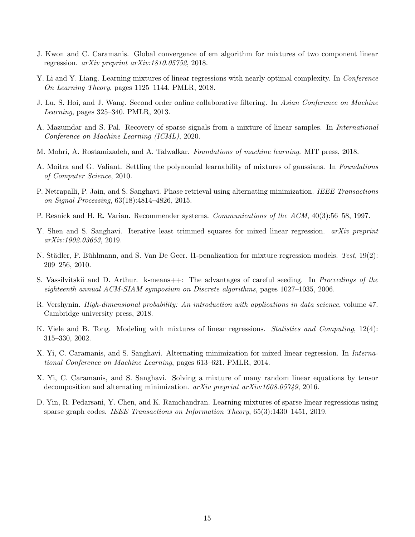- <span id="page-14-3"></span>J. Kwon and C. Caramanis. Global convergence of em algorithm for mixtures of two component linear regression. arXiv preprint arXiv:1810.05752, 2018.
- <span id="page-14-2"></span>Y. Li and Y. Liang. Learning mixtures of linear regressions with nearly optimal complexity. In *Conference* On Learning Theory, pages 1125–1144. PMLR, 2018.
- <span id="page-14-14"></span>J. Lu, S. Hoi, and J. Wang. Second order online collaborative filtering. In Asian Conference on Machine Learning, pages 325–340. PMLR, 2013.
- <span id="page-14-12"></span>A. Mazumdar and S. Pal. Recovery of sparse signals from a mixture of linear samples. In International Conference on Machine Learning (ICML), 2020.
- <span id="page-14-13"></span>M. Mohri, A. Rostamizadeh, and A. Talwalkar. Foundations of machine learning. MIT press, 2018.
- <span id="page-14-0"></span>A. Moitra and G. Valiant. Settling the polynomial learnability of mixtures of gaussians. In Foundations of Computer Science, 2010.
- <span id="page-14-9"></span>P. Netrapalli, P. Jain, and S. Sanghavi. Phase retrieval using alternating minimization. IEEE Transactions on Signal Processing, 63(18):4814–4826, 2015.
- <span id="page-14-8"></span>P. Resnick and H. R. Varian. Recommender systems. Communications of the ACM, 40(3):56–58, 1997.
- <span id="page-14-10"></span>Y. Shen and S. Sanghavi. Iterative least trimmed squares for mixed linear regression. *arXiv preprint* arXiv:1902.03653, 2019.
- <span id="page-14-1"></span>N. Städler, P. Bühlmann, and S. Van De Geer. 11-penalization for mixture regression models. Test, 19(2): 209–256, 2010.
- <span id="page-14-7"></span>S. Vassilvitskii and D. Arthur. k-means++: The advantages of careful seeding. In Proceedings of the eighteenth annual ACM-SIAM symposium on Discrete algorithms, pages 1027–1035, 2006.
- <span id="page-14-15"></span>R. Vershynin. High-dimensional probability: An introduction with applications in data science, volume 47. Cambridge university press, 2018.
- <span id="page-14-4"></span>K. Viele and B. Tong. Modeling with mixtures of linear regressions. *Statistics and Computing*, 12(4): 315–330, 2002.
- <span id="page-14-5"></span>X. Yi, C. Caramanis, and S. Sanghavi. Alternating minimization for mixed linear regression. In International Conference on Machine Learning, pages 613–621. PMLR, 2014.
- <span id="page-14-6"></span>X. Yi, C. Caramanis, and S. Sanghavi. Solving a mixture of many random linear equations by tensor decomposition and alternating minimization.  $arXiv$  preprint  $arXiv:1608.05749$ , 2016.
- <span id="page-14-11"></span>D. Yin, R. Pedarsani, Y. Chen, and K. Ramchandran. Learning mixtures of sparse linear regressions using sparse graph codes. IEEE Transactions on Information Theory, 65(3):1430–1451, 2019.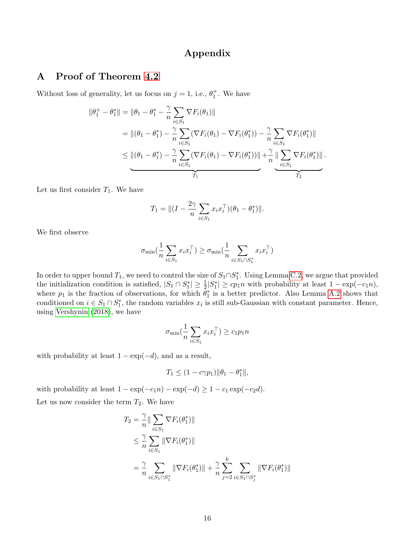# Appendix

# A Proof of Theorem [4.2](#page-7-0)

Without loss of generality, let us focus on  $j = 1$ , i.e.,  $\theta_1^+$ . We have

$$
\|\theta_1^+ - \theta_1^*\| = \|\theta_1 - \theta_1^* - \frac{\gamma}{n} \sum_{i \in S_1} \nabla F_i(\theta_1)\|
$$
  
\n
$$
= \|(\theta_1 - \theta_1^*) - \frac{\gamma}{n} \sum_{i \in S_1} (\nabla F_i(\theta_1) - \nabla F_i(\theta_1^*)) - \frac{\gamma}{n} \sum_{i \in S_1} \nabla F_i(\theta_1^*)\|
$$
  
\n
$$
\leq \underbrace{\|(\theta_1 - \theta_1^*) - \frac{\gamma}{n} \sum_{i \in S_1} (\nabla F_i(\theta_1) - \nabla F_i(\theta_1^*))\|}_{T_1} + \underbrace{\frac{\gamma}{n} \sum_{i \in S_1} \nabla F_i(\theta_1^*)\|}_{T_2}.
$$

Let us first consider  $T_1$ . We have

$$
T_1 = ||(I - \frac{2\gamma}{n} \sum_{i \in S_1} x_i x_i^\top)(\theta_1 - \theta_1^*)||.
$$

We first observe

$$
\sigma_{\min}\left(\frac{1}{n}\sum_{i\in S_1}x_ix_i^\top\right) \ge \sigma_{\min}\left(\frac{1}{n}\sum_{i\in S_1\cap S_1^*}x_ix_i^\top\right)
$$

In order to upper bound  $T_1$ , we need to control the size of  $S_1 \cap S_1^*$ . Using Lemma [C.2,](#page-21-0) we argue that provided the initialization condition is satisfied,  $|S_1 \cap S_1^*| \geq \frac{1}{2}|S_1^*| \geq cp_1n$  with probability at least  $1 - \exp(-c_1n)$ , where  $p_1$  is the fraction of observations, for which  $\bar{\theta}_1^*$  is a better predictor. Also Lemma [A.2](#page-19-1) shows that conditioned on  $i \in S_1 \cap S_1^*$ , the random variables  $x_i$  is still sub-Gaussian with constant parameter. Hence, using [Vershynin](#page-14-15) [\(2018\)](#page-14-15), we have

$$
\sigma_{\min}(\frac{1}{n}\sum_{i \in S_1} x_i x_i^\top) \ge c_1 p_1 n
$$

with probability at least  $1 - \exp(-d)$ , and as a result,

$$
T_1 \le (1 - c\gamma p_1) \|\theta_1 - \theta_1^*\|,
$$

with probability at least  $1 - \exp(-c_1n) - \exp(-d) \geq 1 - c_1 \exp(-c_2d)$ . Let us now consider the term  $T_2$ . We have

$$
T_2 = \frac{\gamma}{n} \|\sum_{i \in S_1} \nabla F_i(\theta_1^*)\|
$$
  
\n
$$
\leq \frac{\gamma}{n} \sum_{i \in S_1} \|\nabla F_i(\theta_1^*)\|
$$
  
\n
$$
= \frac{\gamma}{n} \sum_{i \in S_1 \cap S_1^*} \|\nabla F_i(\theta_1^*)\| + \frac{\gamma}{n} \sum_{j=2}^k \sum_{i \in S_1 \cap S_j^*} \|\nabla F_i(\theta_1^*)\|
$$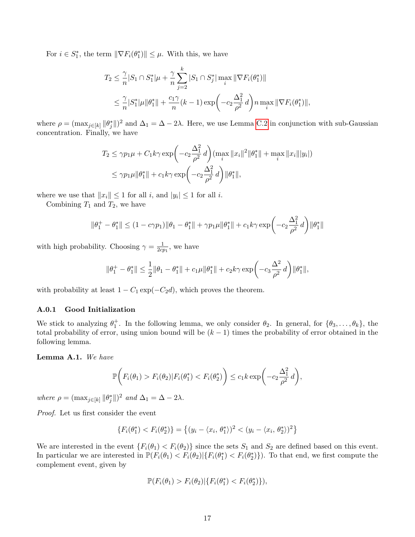For  $i \in S_1^*$ , the term  $\|\nabla F_i(\theta_1^*)\| \leq \mu$ . With this, we have

$$
T_2 \leq \frac{\gamma}{n} |S_1 \cap S_1^*| \mu + \frac{\gamma}{n} \sum_{j=2}^k |S_1 \cap S_j^*| \max_i \|\nabla F_i(\theta_1^*)\|
$$
  

$$
\leq \frac{\gamma}{n} |S_1^*| \mu \| \theta_1^* \| + \frac{c_1 \gamma}{n} (k-1) \exp \left(-c_2 \frac{\Delta_1^2}{\rho^2} d\right) n \max_i \|\nabla F_i(\theta_1^*)\|,
$$

where  $\rho = (\max_{j \in [k]} ||\theta_j^*||)^2$  and  $\Delta_1 = \Delta - 2\lambda$ . Here, we use Lemma [C.2](#page-21-0) in conjunction with sub-Gaussian concentration. Finally, we have

$$
T_2 \le \gamma p_1 \mu + C_1 k \gamma \exp\left(-c_2 \frac{\Delta_1^2}{\rho^2} d\right) \left(\max_i \|x_i\|^2 \|\theta_1^*\| + \max_i \|x_i\| \|y_i\|\right)
$$
  

$$
\le \gamma p_1 \mu \|\theta_1^*\| + c_1 k \gamma \exp\left(-c_2 \frac{\Delta_1^2}{\rho^2} d\right) \|\theta_1^*\|,
$$

where we use that  $||x_i|| \leq 1$  for all i, and  $|y_i| \leq 1$  for all i.

Combining  $T_1$  and  $T_2$ , we have

$$
\|\theta_1^+ - \theta_1^*\| \le (1 - c\gamma p_1) \|\theta_1 - \theta_1^*\| + \gamma p_1 \mu \|\theta_1^*\| + c_1 k\gamma \exp\left(-c_2 \frac{\Delta_1^2}{\rho^2} d\right) \|\theta_1^*\|
$$

with high probability. Choosing  $\gamma = \frac{1}{2c}$  $\frac{1}{2cp_1}$ , we have

$$
\|\theta_1^+ - \theta_1^*\| \leq \frac{1}{2}\|\theta_1 - \theta_1^*\| + c_1\mu\|\theta_1^*\| + c_2k\gamma\exp\biggl(-c_3\frac{\Delta^2}{\rho^2}\,d\biggr)\|\theta_1^*\|,
$$

with probability at least  $1 - C_1 \exp(-C_2 d)$ , which proves the theorem.

### A.0.1 Good Initialization

We stick to analyzing  $\theta_1^+$ . In the following lemma, we only consider  $\theta_2$ . In general, for  $\{\theta_3,\ldots,\theta_k\}$ , the total probability of error, using union bound will be  $(k-1)$  times the probability of error obtained in the following lemma.

Lemma A.1. We have

$$
\mathbb{P}\bigg(F_i(\theta_1) > F_i(\theta_2)|F_i(\theta_1^*) < F_i(\theta_2^*)\bigg) \leq c_1 k \exp\bigg(-c_2 \frac{\Delta_1^2}{\rho^2} d\bigg),
$$

where  $\rho = (\max_{j \in [k]} ||\theta_j^*||)^2$  and  $\Delta_1 = \Delta - 2\lambda$ .

Proof. Let us first consider the event

$$
\{F_i(\theta_1^*) < F_i(\theta_2^*)\} = \left\{ (y_i - \langle x_i, \theta_1^*) \rangle^2 < (y_i - \langle x_i, \theta_2^*) \rangle^2 \right\}
$$

We are interested in the event  $\{F_i(\theta_1) < F_i(\theta_2)\}$  since the sets  $S_1$  and  $S_2$  are defined based on this event. In particular we are interested in  $\mathbb{P}(F_i(\theta_1) < F_i(\theta_2) | \{F_i(\theta_1^*) < F_i(\theta_2^*)\})$ . To that end, we first compute the complement event, given by

$$
\mathbb{P}(F_i(\theta_1) > F_i(\theta_2) | \{ F_i(\theta_1^*) < F_i(\theta_2^*) \}),
$$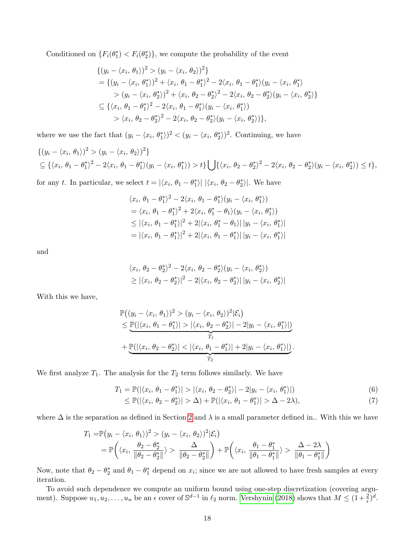Conditioned on  $\{F_i(\theta_1^*) \leq F_i(\theta_2^*)\}$ , we compute the probability of the event

$$
\{(y_i - \langle x_i, \theta_1 \rangle)^2 > (y_i - \langle x_i, \theta_2 \rangle)^2\}
$$
  
= 
$$
\{(y_i - \langle x_i, \theta_1^* \rangle)^2 + \langle x_i, \theta_1 - \theta_1^* \rangle^2 - 2\langle x_i, \theta_1 - \theta_1^* \rangle (y_i - \langle x_i, \theta_1^* \rangle
$$
  

$$
> (y_i - \langle x_i, \theta_2^* \rangle)^2 + \langle x_i, \theta_2 - \theta_2^* \rangle^2 - 2\langle x_i, \theta_2 - \theta_2^* \rangle (y_i - \langle x_i, \theta_2^* \rangle)\}
$$
  

$$
\subseteq \{\langle x_i, \theta_1 - \theta_1^* \rangle^2 - 2\langle x_i, \theta_1 - \theta_1^* \rangle (y_i - \langle x_i, \theta_1^* \rangle)\}
$$
  

$$
> \langle x_i, \theta_2 - \theta_2^* \rangle^2 - 2\langle x_i, \theta_2 - \theta_2^* \rangle (y_i - \langle x_i, \theta_2^* \rangle)\}
$$
,

where we use the fact that  $(y_i - \langle x_i, \theta_1^* \rangle)^2 < (y_i - \langle x_i, \theta_2^* \rangle)^2$ . Continuing, we have

$$
\{(y_i - \langle x_i, \theta_1 \rangle)^2 > (y_i - \langle x_i, \theta_2 \rangle)^2\}
$$
  
\n
$$
\subseteq \{\langle x_i, \theta_1 - \theta_1^* \rangle^2 - 2\langle x_i, \theta_1 - \theta_1^* \rangle (y_i - \langle x_i, \theta_1^* \rangle) > t\} \bigcup \{\langle x_i, \theta_2 - \theta_2^* \rangle^2 - 2\langle x_i, \theta_2 - \theta_2^* \rangle (y_i - \langle x_i, \theta_2^* \rangle) \le t\},
$$

for any t. In particular, we select  $t = |\langle x_i, \theta_1 - \theta_1^* \rangle| |\langle x_i, \theta_2 - \theta_2^* \rangle|$ . We have

$$
\langle x_i, \theta_1 - \theta_1^* \rangle^2 - 2 \langle x_i, \theta_1 - \theta_1^* \rangle (y_i - \langle x_i, \theta_1^* \rangle)
$$
  
=  $\langle x_i, \theta_1 - \theta_1^* \rangle^2 + 2 \langle x_i, \theta_1^* - \theta_1 \rangle (y_i - \langle x_i, \theta_1^* \rangle)$   
 $\leq |\langle x_i, \theta_1 - \theta_1^* \rangle|^2 + 2 |\langle x_i, \theta_1^* - \theta_1 \rangle| |y_i - \langle x_i, \theta_1^* \rangle|$   
=  $|\langle x_i, \theta_1 - \theta_1^* \rangle|^2 + 2 |\langle x_i, \theta_1 - \theta_1^* \rangle| |y_i - \langle x_i, \theta_1^* \rangle|$ 

and

$$
\langle x_i, \theta_2 - \theta_2^* \rangle^2 - 2 \langle x_i, \theta_2 - \theta_2^* \rangle (y_i - \langle x_i, \theta_2^* \rangle)
$$
  
\n
$$
\geq |\langle x_i, \theta_2 - \theta_2^* \rangle|^2 - 2 |\langle x_i, \theta_2 - \theta_2^* \rangle| |y_i - \langle x_i, \theta_2^* \rangle|
$$

With this we have,

$$
\mathbb{P}\big((y_i - \langle x_i, \theta_1 \rangle)^2 > (y_i - \langle x_i, \theta_2 \rangle)^2 | \mathcal{E}_i\big) \n\leq \underbrace{\mathbb{P}(|\langle x_i, \theta_1 - \theta_1^* \rangle| > |\langle x_i, \theta_2 - \theta_2^* \rangle| - 2|y_i - \langle x_i, \theta_1^* \rangle|)}_{T_1} \n+ \underbrace{\mathbb{P}(|\langle x_i, \theta_2 - \theta_2^* \rangle| < |\langle x_i, \theta_1 - \theta_1^* \rangle| + 2|y_i - \langle x_i, \theta_1^* \rangle|)}_{T_2}.
$$

We first analyze  $T_1$ . The analysis for the  $T_2$  term follows similarly. We have

$$
T_1 = \mathbb{P}(|\langle x_i, \theta_1 - \theta_1^* \rangle| > |\langle x_i, \theta_2 - \theta_2^* \rangle| - 2|y_i - \langle x_i, \theta_1^* \rangle|)
$$
(6)

$$
\leq \mathbb{P}(|\langle x_i, \theta_2 - \theta_2^* \rangle| > \Delta) + \mathbb{P}(|\langle x_i, \theta_1 - \theta_1^* \rangle| > \Delta - 2\lambda),\tag{7}
$$

where  $\Delta$  is the separation as defined in Section [2](#page-3-3) and  $\lambda$  is a small parameter defined in.. With this we have

$$
T_1 = \mathbb{P}(y_i - \langle x_i, \theta_1 \rangle)^2 > (y_i - \langle x_i, \theta_2 \rangle)^2 | \mathcal{E}_i)
$$
  
=  $\mathbb{P}\left(\langle x_i, \frac{\theta_2 - \theta_2^*}{\|\theta_2 - \theta_2^*\|}\rangle > \frac{\Delta}{\|\theta_2 - \theta_2^*\|}\right) + \mathbb{P}\left(\langle x_i, \frac{\theta_1 - \theta_1^*}{\|\theta_1 - \theta_1^*\|}\rangle > \frac{\Delta - 2\lambda}{\|\theta_1 - \theta_1^*\|}\right)$ 

Now, note that  $\theta_2 - \theta_2^*$  and  $\theta_1 - \theta_1^*$  depend on  $x_i$ ; since we are not allowed to have fresh samples at every iteration.

To avoid such dependence we compute an uniform bound using one-step discretization (covering argument). Suppose  $u_1, u_2, \ldots, u_n$  be an  $\epsilon$  cover of  $\mathbb{S}^{d-1}$  in  $\ell_2$  norm. [Vershynin](#page-14-15) [\(2018\)](#page-14-15) shows that  $M \leq (1+\frac{2}{\epsilon})^d$ .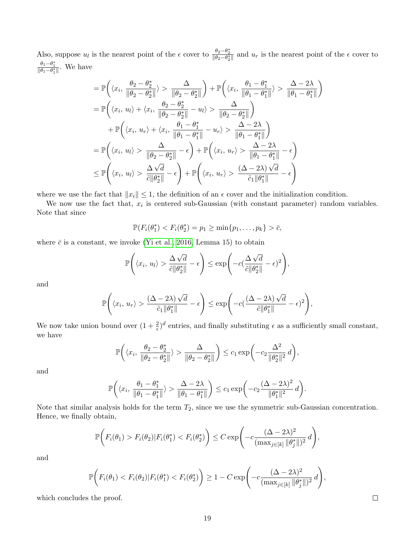Also, suppose  $u_l$  is the nearest point of the  $\epsilon$  cover to  $\frac{\theta_2-\theta_2^*}{\|\theta_2-\theta_2^*\|}$  and  $u_r$  is the nearest point of the  $\epsilon$  cover to  $\frac{\theta_1 - \theta_1^*}{\|\theta_1 - \theta_1^*\|}$ . We have

$$
= \mathbb{P}\left(\langle x_i, \frac{\theta_2 - \theta_2^*}{\|\theta_2 - \theta_2^*\|} \rangle > \frac{\Delta}{\|\theta_2 - \theta_2^*\|}\right) + \mathbb{P}\left(\langle x_i, \frac{\theta_1 - \theta_1^*}{\|\theta_1 - \theta_1^*\|} \rangle > \frac{\Delta - 2\lambda}{\|\theta_1 - \theta_1^*\|}\right)
$$
  
\n
$$
= \mathbb{P}\left(\langle x_i, u_l \rangle + \langle x_i, \frac{\theta_2 - \theta_2^*}{\|\theta_2 - \theta_2^*\|} - u_l \rangle > \frac{\Delta}{\|\theta_2 - \theta_2^*\|}\right)
$$
  
\n
$$
+ \mathbb{P}\left(\langle x_i, u_r \rangle + \langle x_i, \frac{\theta_1 - \theta_1^*}{\|\theta_1 - \theta_1^*\|} - u_r \rangle > \frac{\Delta - 2\lambda}{\|\theta_1 - \theta_1^*\|}\right)
$$
  
\n
$$
= \mathbb{P}\left(\langle x_i, u_l \rangle > \frac{\Delta}{\|\theta_2 - \theta_2^*\|} - \epsilon\right) + \mathbb{P}\left(\langle x_i, u_r \rangle > \frac{\Delta - 2\lambda}{\|\theta_1 - \theta_1^*\|} - \epsilon\right)
$$
  
\n
$$
\leq \mathbb{P}\left(\langle x_i, u_l \rangle > \frac{\Delta\sqrt{d}}{\tilde{c}\|\theta_2^*\|} - \epsilon\right) + \mathbb{P}\left(\langle x_i, u_r \rangle > \frac{(\Delta - 2\lambda)\sqrt{d}}{\tilde{c}_1\|\theta_1^*\|} - \epsilon\right)
$$

where we use the fact that  $||x_i|| \leq 1$ , the definition of an  $\epsilon$  cover and the initialization condition.

We now use the fact that,  $x_i$  is centered sub-Gaussian (with constant parameter) random variables. Note that since

$$
\mathbb{P}(F_i(\theta_1^*) < F_i(\theta_2^*) = p_1 \ge \min\{p_1,\ldots,p_k\} > \bar{c},
$$

where  $\bar{c}$  is a constant, we invoke [\(Yi et al., 2016,](#page-14-6) Lemma 15) to obtain

$$
\mathbb{P}\Bigg(\langle x_i, u_l\rangle > \frac{\Delta\sqrt{d}}{\tilde{c}\|\theta_2^*\|} - \epsilon\Bigg) \le \exp\Bigg(-c\big(\frac{\Delta\sqrt{d}}{\tilde{c}\|\theta_2^*\|} - \epsilon\big)^2\Bigg),
$$

and

$$
\mathbb{P}\Bigg(\langle x_i, u_r\rangle > \frac{(\Delta - 2\lambda)\sqrt{d}}{\tilde{c}_1\|\theta_1^*\|} - \epsilon\Bigg) \le \exp\Bigg(-c\big(\frac{(\Delta - 2\lambda)\sqrt{d}}{\tilde{c}\|\theta_1^*\|} - \epsilon\big)^2\Bigg),
$$

We now take union bound over  $(1 + \frac{2}{\epsilon})^d$  entries, and finally substituting  $\epsilon$  as a sufficiently small constant, we have

$$
\mathbb{P}\bigg(\langle x_i, \frac{\theta_2 - \theta_2^*}{\|\theta_2 - \theta_2^*\|} \rangle > \frac{\Delta}{\|\theta_2 - \theta_2^*\|}\bigg) \leq c_1 \exp\bigg(-c_2 \frac{\Delta^2}{\|\theta_2^*\|^2} d\bigg),
$$

and

$$
\mathbb{P}\bigg(\langle x_i, \frac{\theta_1 - \theta_1^*}{\|\theta_1 - \theta_1^*\|} \rangle > \frac{\Delta - 2\lambda}{\|\theta_1 - \theta_1^*\|}\bigg) \leq c_1 \exp\bigg(-c_2 \frac{(\Delta - 2\lambda)^2}{\|\theta_1^*\|^2} d\bigg).
$$

Note that similar analysis holds for the term  $T_2$ , since we use the symmetric sub-Gaussian concentration. Hence, we finally obtain,

$$
\mathbb{P}\bigg(F_i(\theta_1) > F_i(\theta_2)|F_i(\theta_1^*) < F_i(\theta_2^*)\bigg) \leq C \exp\bigg(-c\frac{(\Delta - 2\lambda)^2}{(\max_{j \in [k]} \|\theta_j^*\|)^2}d\bigg),
$$

and

$$
\mathbb{P}\bigg(F_i(\theta_1) < F_i(\theta_2) | F_i(\theta_1^*) < F_i(\theta_2^*)\bigg) \geq 1 - C \exp\bigg(-c \frac{(\Delta - 2\lambda)^2}{(\max_{j \in [k]} \|\theta_j^*\|)^2} d\bigg),
$$

which concludes the proof.

 $\Box$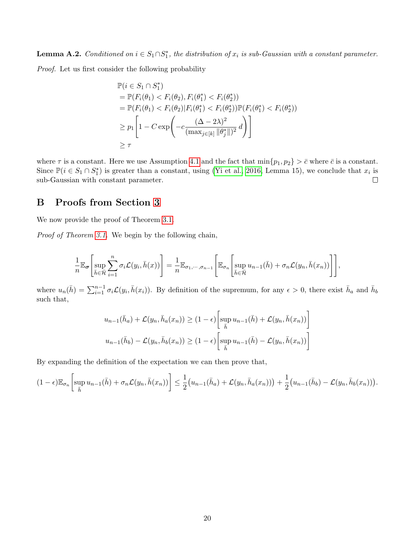<span id="page-19-1"></span>**Lemma A.2.** Conditioned on  $i \in S_1 \cap S_1^*$ , the distribution of  $x_i$  is sub-Gaussian with a constant parameter.

Proof. Let us first consider the following probability

$$
\mathbb{P}(i \in S_1 \cap S_1^*)
$$
\n
$$
= \mathbb{P}(F_i(\theta_1) < F_i(\theta_2), F_i(\theta_1^*) < F_i(\theta_2^*))
$$
\n
$$
= \mathbb{P}(F_i(\theta_1) < F_i(\theta_2) | F_i(\theta_1^*) < F_i(\theta_2^*)) \mathbb{P}(F_i(\theta_1^*) < F_i(\theta_2^*))
$$
\n
$$
\geq p_1 \left[ 1 - C \exp \left( -c \frac{(\Delta - 2\lambda)^2}{(\max_{j \in [k]} || \theta_j^* ||)^2} d \right) \right]
$$
\n
$$
\geq \tau
$$

where  $\tau$  is a constant. Here we use Assumption [4.1](#page-6-1) and the fact that  $\min\{p_1, p_2\} > \bar{c}$  where  $\bar{c}$  is a constant. Since  $\mathbb{P}(i \in S_1 \cap S_1^*)$  is greater than a constant, using [\(Yi et al., 2016,](#page-14-6) Lemma 15), we conclude that  $x_i$  is  $\Box$ sub-Gaussian with constant parameter.

# <span id="page-19-0"></span>B Proofs from Section [3](#page-4-0)

We now provide the proof of Theorem [3.1.](#page-4-2)

Proof of Theorem [3.1.](#page-4-2) We begin by the following chain,

$$
\frac{1}{n} \mathbb{E}_{\sigma} \left[ \sup_{\bar{h} \in \bar{\mathcal{H}}} \sum_{i=1}^{n} \sigma_{i} \mathcal{L}(y_{i}, \bar{h}(x)) \right] = \frac{1}{n} \mathbb{E}_{\sigma_{1}, \cdots, \sigma_{n-1}} \left[ \mathbb{E}_{\sigma_{n}} \left[ \sup_{\bar{h} \in \bar{\mathcal{H}}} u_{n-1}(\bar{h}) + \sigma_{n} \mathcal{L}(y_{n}, \bar{h}(x_{n})) \right] \right],
$$

where  $u_n(\bar{h}) = \sum_{i=1}^{n-1} \sigma_i \mathcal{L}(y_i, \bar{h}(x_i))$ . By definition of the supremum, for any  $\epsilon > 0$ , there exist  $\bar{h}_a$  and  $\bar{h}_b$ such that,

$$
u_{n-1}(\bar{h}_a) + \mathcal{L}(y_n, \bar{h}_a(x_n)) \ge (1 - \epsilon) \left[ \sup_{\bar{h}} u_{n-1}(\bar{h}) + \mathcal{L}(y_n, \bar{h}(x_n)) \right]
$$
  

$$
u_{n-1}(\bar{h}_b) - \mathcal{L}(y_n, \bar{h}_b(x_n)) \ge (1 - \epsilon) \left[ \sup_{\bar{h}} u_{n-1}(\bar{h}) - \mathcal{L}(y_n, \bar{h}(x_n)) \right]
$$

By expanding the definition of the expectation we can then prove that,

$$
(1-\epsilon)\mathbb{E}_{\sigma_n}\left[\sup_{\bar{h}} u_{n-1}(\bar{h}) + \sigma_n \mathcal{L}(y_n, \bar{h}(x_n))\right] \leq \frac{1}{2}\left(u_{n-1}(\bar{h}_a) + \mathcal{L}(y_n, \bar{h}_a(x_n))\right) + \frac{1}{2}\left(u_{n-1}(\bar{h}_b) - \mathcal{L}(y_n, \bar{h}_b(x_n))\right).
$$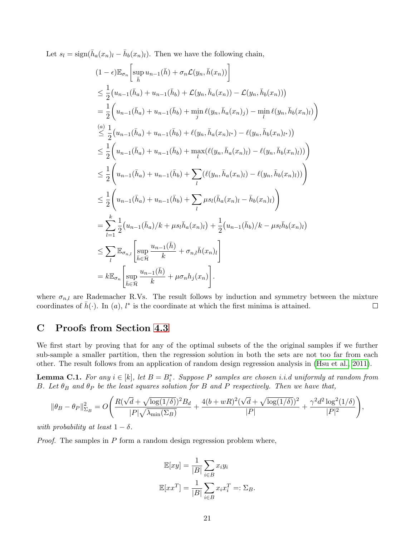Let  $s_l = \text{sign}(\bar{h}_a(x_n)_l - \bar{h}_b(x_n)_l)$ . Then we have the following chain,

$$
(1 - \epsilon) \mathbb{E}_{\sigma_n} \left[ \sup_{\bar{h}} u_{n-1}(\bar{h}) + \sigma_n \mathcal{L}(y_n, \bar{h}(x_n)) \right]
$$
  
\n
$$
\leq \frac{1}{2} (u_{n-1}(\bar{h}_a) + u_{n-1}(\bar{h}_b) + \mathcal{L}(y_n, \bar{h}_a(x_n)) - \mathcal{L}(y_n, \bar{h}_b(x_n)))
$$
  
\n
$$
= \frac{1}{2} \left( u_{n-1}(\bar{h}_a) + u_{n-1}(\bar{h}_b) + \min_{j} \ell(y_n, \bar{h}_a(x_n)_j) - \min_{l} \ell(y_n, \bar{h}_b(x_n)_l) \right)
$$
  
\n
$$
\leq \frac{1}{2} (u_{n-1}(\bar{h}_a) + u_{n-1}(\bar{h}_b) + \ell(y_n, \bar{h}_a(x_n)_{l^*}) - \ell(y_n, \bar{h}_b(x_n)_{l^*}))
$$
  
\n
$$
\leq \frac{1}{2} \left( u_{n-1}(\bar{h}_a) + u_{n-1}(\bar{h}_b) + \max_{l} \ell(\ell(y_n, \bar{h}_a(x_n)_{l}) - \ell(y_n, \bar{h}_b(x_n)_{l})) \right)
$$
  
\n
$$
\leq \frac{1}{2} \left( u_{n-1}(\bar{h}_a) + u_{n-1}(\bar{h}_b) + \sum_{l} (\ell(y_n, \bar{h}_a(x_n)_{l}) - \ell(y_n, \bar{h}_b(x_n)_{l})) \right)
$$
  
\n
$$
\leq \frac{1}{2} \left( u_{n-1}(\bar{h}_a) + u_{n-1}(\bar{h}_b) + \sum_{l} \mu_{s_l}(\bar{h}_a(x_n)_{l} - \bar{h}_b(x_n)_{l}) \right)
$$
  
\n
$$
= \sum_{l=1}^{k} \frac{1}{2} (u_{n-1}(\bar{h}_a) / k + \mu_{s_l} \bar{h}_a(x_n)_{l}) + \frac{1}{2} (u_{n-1}(\bar{h}_b) / k - \mu_{s_l} \bar{h}_b(x_n)_{l})
$$
  
\n
$$
\leq \sum_{l} \mathbb{E}_{\sigma_{n,l}} \left[ \sup_{\bar
$$

where  $\sigma_{n,l}$  are Rademacher R.Vs. The result follows by induction and symmetry between the mixture coordinates of  $\bar{h}(\cdot)$ . In  $(a)$ ,  $l^*$  is the coordinate at which the first minima is attained.  $\Box$ 

# C Proofs from Section [4.3](#page-8-0)

We first start by proving that for any of the optimal subsets of the the original samples if we further sub-sample a smaller partition, then the regression solution in both the sets are not too far from each other. The result follows from an application of random design regression analysis in [\(Hsu et al., 2011\)](#page-13-17).

<span id="page-20-0"></span>**Lemma C.1.** For any  $i \in [k]$ , let  $B = B_i^*$ . Suppose P samples are chosen i.i.d uniformly at random from B. Let  $\theta_B$  and  $\theta_P$  be the least squares solution for B and P respectively. Then we have that,

$$
\|\theta_B-\theta_P\|_{\Sigma_B}^2=O\Bigg(\frac{R(\sqrt{d}+\sqrt{\log(1/\delta)})^2B_d}{|P|\sqrt{\lambda_{\min}(\Sigma_B)}}+\frac{4(b+wR)^2(\sqrt{d}+\sqrt{\log(1/\delta)})^2}{|P|}+\frac{\gamma^2d^2\log^2(1/\delta)}{|P|^2}\Bigg),
$$

with probability at least  $1 - \delta$ .

*Proof.* The samples in  $P$  form a random design regression problem where,

$$
\mathbb{E}[xy] = \frac{1}{|B|} \sum_{i \in B} x_i y_i
$$

$$
\mathbb{E}[xx^T] = \frac{1}{|B|} \sum_{i \in B} x_i x_i^T =: \Sigma_B.
$$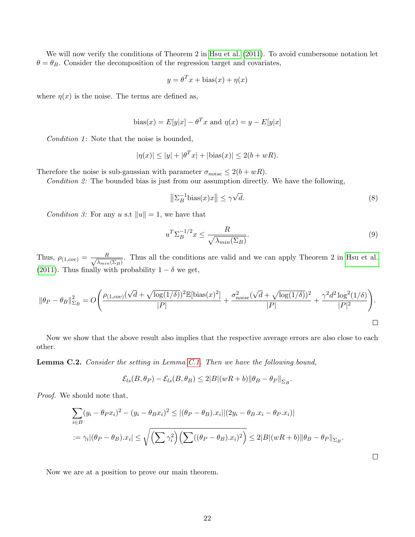We will now verify the conditions of Theorem 2 in [Hsu et al.](#page-13-17)  $(2011)$ . To avoid cumbersome notation let  $\theta = \theta_B$ . Consider the decomposition of the regression target and covariates,

$$
y = \theta^T x + \text{bias}(x) + \eta(x)
$$

where  $\eta(x)$  is the noise. The terms are defined as,

bias
$$
(x)
$$
 =  $E[y|x] - \theta^T x$  and  $\eta(x) = y - E[y|x]$ 

Condition 1: Note that the noise is bounded,

$$
|\eta(x)| \le |y| + |\theta^T x| + |\text{bias}(x)| \le 2(b + wR).
$$

Therefore the noise is sub-gaussian with parameter  $\sigma_{noise} \leq 2(b + wR)$ .

Condition 2: The bounded bias is just from our assumption directly. We have the following,

$$
\left\|\Sigma_B^{-1}\text{bias}(x)x\right\| \le \gamma\sqrt{d}.\tag{8}
$$

Condition 3: For any u s.t  $||u|| = 1$ , we have that

$$
u^T \Sigma_B^{-1/2} x \le \frac{R}{\sqrt{\lambda_{min}(\Sigma_B)}}.
$$
\n
$$
(9)
$$

 $\Box$ 

Thus,  $\rho_{(1,cov)} = \frac{R}{\sqrt{1-c}}$  $\frac{R}{\lambda_{min}(\Sigma_B)}$ . Thus all the conditions are valid and we can apply Theorem 2 in [Hsu et al.](#page-13-17) [\(2011\)](#page-13-17). Thus finally with probability  $1 - \delta$  we get,

$$
\|\theta_P - \theta_B\|_{\Sigma_B}^2 = O\Bigg(\frac{\rho_{(1,cov)}(\sqrt{d} + \sqrt{\log(1/\delta)})^2 \mathbb{E}[\text{bias}(x)^2]}{|P|} + \frac{\sigma_{noise}^2(\sqrt{d} + \sqrt{\log(1/\delta)})^2}{|P|} + \frac{\gamma^2 d^2 \log^2(1/\delta)}{|P|^2}\Bigg).
$$

Now we show that the above result also implies that the respective average errors are also close to each other.

<span id="page-21-0"></span>Lemma C.2. Consider the setting in Lemma [C.1.](#page-20-0) Then we have the following bound,

$$
\mathcal{E}_{ls}(B,\theta_P) - \mathcal{E}_{ls}(B,\theta_B) \leq 2|B|(wR+b)||\theta_B - \theta_P||_{\Sigma_B}.
$$

Proof. We should note that,

$$
\sum_{i \in B} (y_i - \theta_P x_i)^2 - (y_i - \theta_B x_i)^2 \le |(\theta_P - \theta_B) \cdot x_i||(2y_i - \theta_B \cdot x_i - \theta_P \cdot x_i)|
$$
  

$$
:= \gamma_i |(\theta_P - \theta_B) \cdot x_i| \le \sqrt{\left(\sum \gamma_i^2\right) \left(\sum ((\theta_P - \theta_B) \cdot x_i)^2\right)} \le 2|B|(wR + b)||\theta_B - \theta_P||_{\Sigma_B}.
$$

Now we are at a position to prove our main theorem.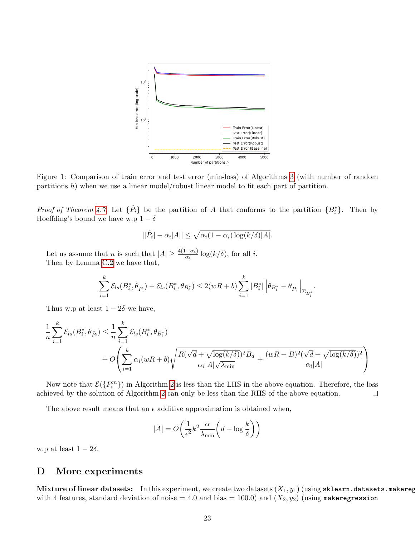<span id="page-22-0"></span>

Figure 1: Comparison of train error and test error (min-loss) of Algorithms [3](#page-10-0) (with number of random partitions h) when we use a linear model/robust linear model to fit each part of partition.

*Proof of Theorem [4.7.](#page-9-1)* Let  $\{\tilde{P}_i\}$  be the partition of A that conforms to the partition  $\{B_i^*\}$ . Then by Hoeffding's bound we have w.p  $1 - \delta$ 

$$
||\tilde{P}_i| - \alpha_i |A|| \le \sqrt{\alpha_i (1 - \alpha_i) \log(k/\delta) |A|}.
$$

Let us assume that *n* is such that  $|A| \ge \frac{4(1-\alpha_i)}{\alpha_i} \log(k/\delta)$ , for all *i*. Then by Lemma [C.2](#page-21-0) we have that,

$$
\sum_{i=1}^k \mathcal{E}_{ls}(B_i^*,\theta_{\tilde{P}_i}) - \mathcal{E}_{ls}(B_i^*,\theta_{B_i^*}) \leq 2(wR + b)\sum_{i=1}^k |B_i^*| \Big\|\theta_{B_i^*} - \theta_{\tilde{P}_i}\Big\|_{\Sigma_{B_i^*}}.
$$

Thus w.p at least  $1 - 2\delta$  we have,

$$
\frac{1}{n} \sum_{i=1}^{k} \mathcal{E}_{ls}(B_i^*, \theta_{\tilde{P}_i}) \leq \frac{1}{n} \sum_{i=1}^{k} \mathcal{E}_{ls}(B_i^*, \theta_{B_i^*})
$$
\n
$$
+ O\left(\sum_{i=1}^{k} \alpha_i (wR + b) \sqrt{\frac{R(\sqrt{d} + \sqrt{\log(k/\delta)})^2 B_d}{\alpha_i |A| \sqrt{\lambda_{\min}}}} + \frac{(wR + B)^2 (\sqrt{d} + \sqrt{\log(k/\delta)})^2}{\alpha_i |A|}\right)
$$

Now note that  $\mathcal{E}(\{P_i^m\})$  in Algorithm [2](#page-8-1) is less than the LHS in the above equation. Therefore, the loss achieved by the solution of Algorithm [2](#page-8-1) can only be less than the RHS of the above equation.  $\Box$ 

The above result means that an  $\epsilon$  additive approximation is obtained when,

$$
|A| = O\left(\frac{1}{\epsilon^2}k^2 \frac{\alpha}{\lambda_{\min}} \left(d + \log \frac{k}{\delta}\right)\right)
$$

w.p at least  $1 - 2\delta$ .

## D More experiments

Mixture of linear datasets: In this experiment, we create two datasets  $(X_1, y_1)$  (using sklearn.datasets.makeregress) with 4 features, standard deviation of noise = 4.0 and bias = 100.0) and  $(X_2, y_2)$  (using makeregression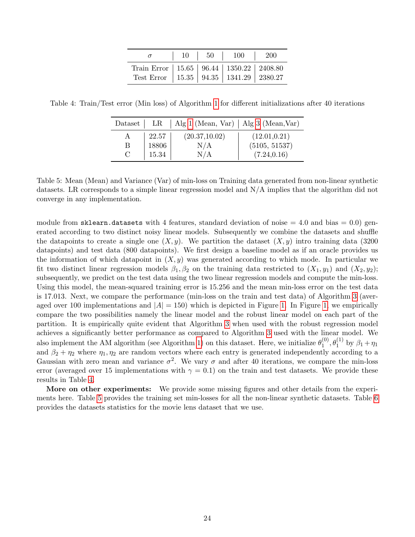|                                                                                                   |  | $\begin{array}{ c c c c c c c c } \hline \end{array}$ 10 $\begin{array}{ c c c c c } \hline \end{array}$ 10 $\begin{array}{ c c c c c } \hline \end{array}$ 10 $\begin{array}{ c c c c c } \hline \end{array}$ |  |
|---------------------------------------------------------------------------------------------------|--|----------------------------------------------------------------------------------------------------------------------------------------------------------------------------------------------------------------|--|
| Train Error   15.65   96.44   1350.22   2408.80<br>Test Error   15.35   94.35   1341.29   2380.27 |  |                                                                                                                                                                                                                |  |

<span id="page-23-1"></span><span id="page-23-0"></span>Table 4: Train/Test error (Min loss) of Algorithm [1](#page-6-0) for different initializations after 40 iterations

| Dataset | $_{\rm LR}$ | $\vert$ Alg 1 (Mean, Var) $\vert$ Alg 3 (Mean, Var) |               |
|---------|-------------|-----------------------------------------------------|---------------|
| Α       | 22.57       | (20.37, 10.02)                                      | (12.01, 0.21) |
| В       | 18806       | N/A                                                 | (5105, 51537) |
| С       | 15.34       | N/A                                                 | (7.24, 0.16)  |

Table 5: Mean (Mean) and Variance (Var) of min-loss on Training data generated from non-linear synthetic datasets. LR corresponds to a simple linear regression model and N/A implies that the algorithm did not converge in any implementation.

module from sklearn.datasets with 4 features, standard deviation of noise  $= 4.0$  and bias  $= 0.0$ ) generated according to two distinct noisy linear models. Subsequently we combine the datasets and shuffle the datapoints to create a single one  $(X, y)$ . We partition the dataset  $(X, y)$  intro training data (3200) datapoints) and test data (800 datapoints). We first design a baseline model as if an oracle provides us the information of which datapoint in  $(X, y)$  was generated according to which mode. In particular we fit two distinct linear regression models  $\beta_1, \beta_2$  on the training data restricted to  $(X_1, y_1)$  and  $(X_2, y_2)$ ; subsequently, we predict on the test data using the two linear regression models and compute the min-loss. Using this model, the mean-squared training error is  $15.256$  and the mean min-loss error on the test data is 17.013. Next, we compare the performance (min-loss on the train and test data) of Algorithm [3](#page-10-0) (averaged over 100 implementations and  $|A| = 150$ ) which is depicted in Figure [1.](#page-22-0) In Figure [1,](#page-22-0) we empirically compare the two possibilities namely the linear model and the robust linear model on each part of the partition. It is empirically quite evident that Algorithm [3](#page-10-0) when used with the robust regression model achieves a significantly better performance as compared to Algorithm [3](#page-10-0) used with the linear model. We also implement the AM algorithm (see Algorithm [1\)](#page-6-0) on this dataset. Here, we initialize  $\theta_1^{(0)}$  $\mathcal{L}_1^{(0)}, \theta_1^{(1)}$  by  $\beta_1 + \eta_1$ and  $\beta_2 + \eta_2$  where  $\eta_1, \eta_2$  are random vectors where each entry is generated independently according to a Gaussian with zero mean and variance  $\sigma^2$ . We vary  $\sigma$  and after 40 iterations, we compare the min-loss error (averaged over 15 implementations with  $\gamma = 0.1$ ) on the train and test datasets. We provide these results in Table [4.](#page-23-1)

More on other experiments: We provide some missing figures and other details from the experiments here. Table [5](#page-23-0) provides the training set min-losses for all the non-linear synthetic datasets. Table [6](#page-24-0) provides the datasets statistics for the movie lens dataset that we use.